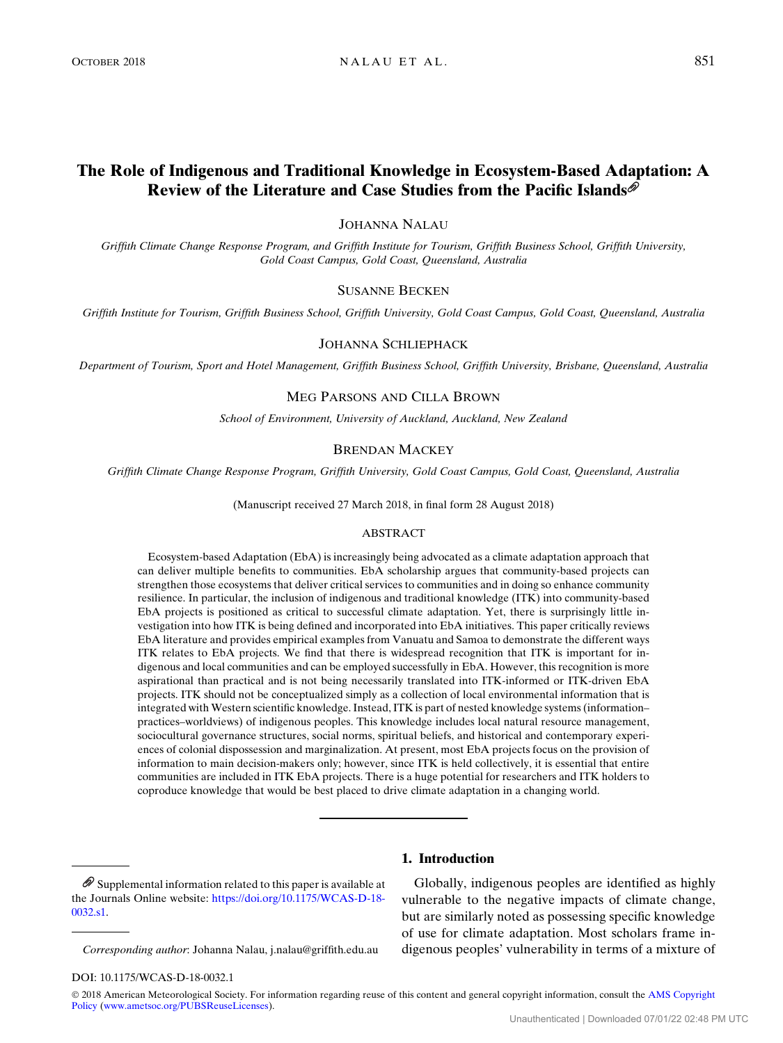# The Role of Indigenous and Traditional Knowledge in Ecosystem-Based Adaptation: A Review of the Literature and Case Studies from the Pacific Islands

# JOHANNA NALAU

Griffith Climate Change Response Program, and Griffith Institute for Tourism, Griffith Business School, Griffith University, Gold Coast Campus, Gold Coast, Queensland, Australia

#### SUSANNE BECKEN

Griffith Institute for Tourism, Griffith Business School, Griffith University, Gold Coast Campus, Gold Coast, Queensland, Australia

# JOHANNA SCHLIEPHACK

Department of Tourism, Sport and Hotel Management, Griffith Business School, Griffith University, Brisbane, Queensland, Australia

# MEG PARSONS AND CILLA BROWN

School of Environment, University of Auckland, Auckland, New Zealand

#### BRENDAN MACKEY

Griffith Climate Change Response Program, Griffith University, Gold Coast Campus, Gold Coast, Queensland, Australia

(Manuscript received 27 March 2018, in final form 28 August 2018)

# ABSTRACT

Ecosystem-based Adaptation (EbA) is increasingly being advocated as a climate adaptation approach that can deliver multiple benefits to communities. EbA scholarship argues that community-based projects can strengthen those ecosystems that deliver critical services to communities and in doing so enhance community resilience. In particular, the inclusion of indigenous and traditional knowledge (ITK) into community-based EbA projects is positioned as critical to successful climate adaptation. Yet, there is surprisingly little investigation into how ITK is being defined and incorporated into EbA initiatives. This paper critically reviews EbA literature and provides empirical examples from Vanuatu and Samoa to demonstrate the different ways ITK relates to EbA projects. We find that there is widespread recognition that ITK is important for indigenous and local communities and can be employed successfully in EbA. However, this recognition is more aspirational than practical and is not being necessarily translated into ITK-informed or ITK-driven EbA projects. ITK should not be conceptualized simply as a collection of local environmental information that is integrated with Western scientific knowledge. Instead, ITK is part of nested knowledge systems (information– practices–worldviews) of indigenous peoples. This knowledge includes local natural resource management, sociocultural governance structures, social norms, spiritual beliefs, and historical and contemporary experiences of colonial dispossession and marginalization. At present, most EbA projects focus on the provision of information to main decision-makers only; however, since ITK is held collectively, it is essential that entire communities are included in ITK EbA projects. There is a huge potential for researchers and ITK holders to coproduce knowledge that would be best placed to drive climate adaptation in a changing world.

 $\mathscr{D}$  Supplemental information related to this paper is available at the Journals Online website: [https://doi.org/10.1175/WCAS-D-18-](https://doi.org/10.1175/WCAS-D-18-0032.s1) [0032.s1.](https://doi.org/10.1175/WCAS-D-18-0032.s1)

Corresponding author: Johanna Nalau, [j.nalau@griffith.edu.au](mailto:j.nalau@griffith.edu.au)

# 1. Introduction

Globally, indigenous peoples are identified as highly vulnerable to the negative impacts of climate change, but are similarly noted as possessing specific knowledge of use for climate adaptation. Most scholars frame indigenous peoples' vulnerability in terms of a mixture of

#### DOI: 10.1175/WCAS-D-18-0032.1

© 2018 American Meteorological Society. For information regarding reuse of this content and general copyright information, consult the [AMS Copyright](http://www.ametsoc.org/PUBSReuseLicenses)<br>[Policy](http://www.ametsoc.org/PUBSReuseLicenses) [\(www.ametsoc.org/PUBSReuseLicenses](http://www.ametsoc.org/PUBSReuseLicenses)).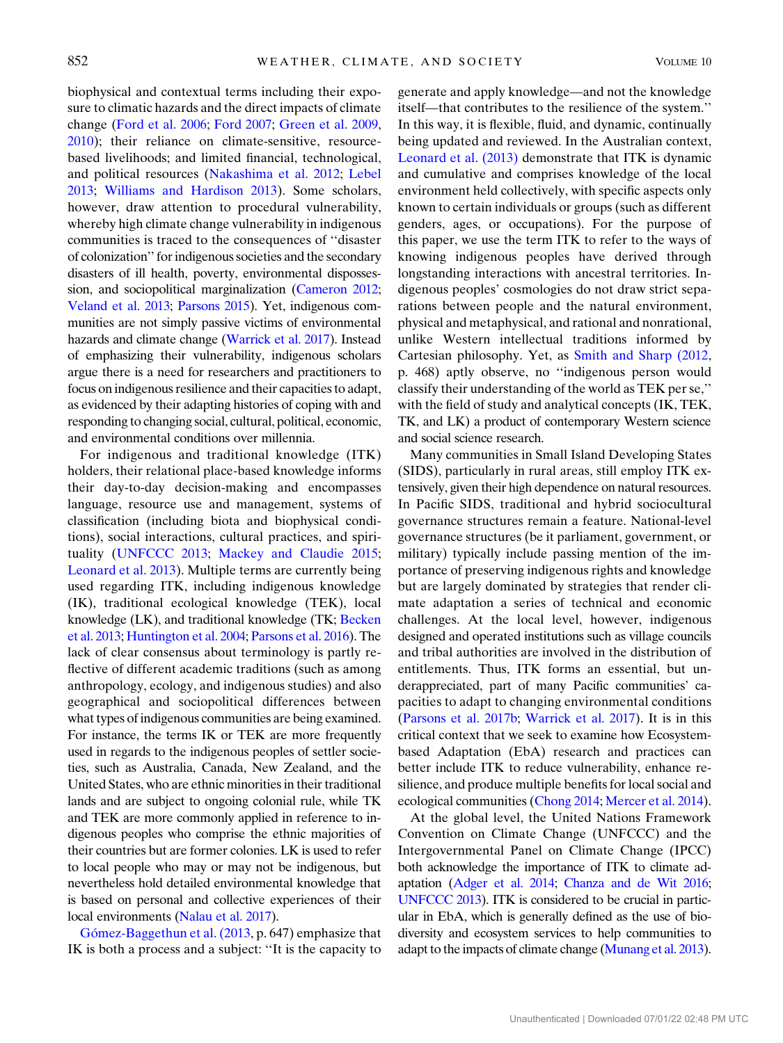biophysical and contextual terms including their exposure to climatic hazards and the direct impacts of climate change [\(Ford et al. 2006;](#page-12-0) [Ford 2007;](#page-12-1) [Green et al. 2009,](#page-12-2) [2010\)](#page-12-3); their reliance on climate-sensitive, resourcebased livelihoods; and limited financial, technological, and political resources ([Nakashima et al. 2012](#page-13-0); [Lebel](#page-13-1) [2013;](#page-13-1) [Williams and Hardison 2013\)](#page-14-0). Some scholars, however, draw attention to procedural vulnerability, whereby high climate change vulnerability in indigenous communities is traced to the consequences of ''disaster of colonization'' for indigenous societies and the secondary disasters of ill health, poverty, environmental dispossession, and sociopolitical marginalization ([Cameron 2012;](#page-12-4) [Veland et al. 2013;](#page-14-1) [Parsons 2015\)](#page-13-2). Yet, indigenous communities are not simply passive victims of environmental hazards and climate change [\(Warrick et al. 2017\)](#page-14-2). Instead of emphasizing their vulnerability, indigenous scholars argue there is a need for researchers and practitioners to focus on indigenous resilience and their capacities to adapt, as evidenced by their adapting histories of coping with and responding to changing social, cultural, political, economic, and environmental conditions over millennia.

For indigenous and traditional knowledge (ITK) holders, their relational place-based knowledge informs their day-to-day decision-making and encompasses language, resource use and management, systems of classification (including biota and biophysical conditions), social interactions, cultural practices, and spirituality [\(UNFCCC 2013](#page-14-3); [Mackey and Claudie 2015;](#page-13-3) [Leonard et al. 2013](#page-13-4)). Multiple terms are currently being used regarding ITK, including indigenous knowledge (IK), traditional ecological knowledge (TEK), local knowledge (LK), and traditional knowledge (TK; [Becken](#page-11-0) [et al. 2013](#page-11-0); [Huntington et al. 2004;](#page-12-5) [Parsons et al. 2016\)](#page-13-5). The lack of clear consensus about terminology is partly reflective of different academic traditions (such as among anthropology, ecology, and indigenous studies) and also geographical and sociopolitical differences between what types of indigenous communities are being examined. For instance, the terms IK or TEK are more frequently used in regards to the indigenous peoples of settler societies, such as Australia, Canada, New Zealand, and the United States, who are ethnic minorities in their traditional lands and are subject to ongoing colonial rule, while TK and TEK are more commonly applied in reference to indigenous peoples who comprise the ethnic majorities of their countries but are former colonies. LK is used to refer to local people who may or may not be indigenous, but nevertheless hold detailed environmental knowledge that is based on personal and collective experiences of their local environments [\(Nalau et al. 2017](#page-13-6)).

Gó[mez-Baggethun et al. \(2013](#page-12-6), p. 647) emphasize that IK is both a process and a subject: ''It is the capacity to

generate and apply knowledge—and not the knowledge itself—that contributes to the resilience of the system.'' In this way, it is flexible, fluid, and dynamic, continually being updated and reviewed. In the Australian context, [Leonard et al. \(2013\)](#page-13-4) demonstrate that ITK is dynamic and cumulative and comprises knowledge of the local environment held collectively, with specific aspects only known to certain individuals or groups (such as different genders, ages, or occupations). For the purpose of this paper, we use the term ITK to refer to the ways of knowing indigenous peoples have derived through longstanding interactions with ancestral territories. Indigenous peoples' cosmologies do not draw strict separations between people and the natural environment, physical and metaphysical, and rational and nonrational, unlike Western intellectual traditions informed by Cartesian philosophy. Yet, as [Smith and Sharp \(2012,](#page-14-4) p. 468) aptly observe, no ''indigenous person would classify their understanding of the world as TEK per se,'' with the field of study and analytical concepts (IK, TEK, TK, and LK) a product of contemporary Western science and social science research.

Many communities in Small Island Developing States (SIDS), particularly in rural areas, still employ ITK extensively, given their high dependence on natural resources. In Pacific SIDS, traditional and hybrid sociocultural governance structures remain a feature. National-level governance structures (be it parliament, government, or military) typically include passing mention of the importance of preserving indigenous rights and knowledge but are largely dominated by strategies that render climate adaptation a series of technical and economic challenges. At the local level, however, indigenous designed and operated institutions such as village councils and tribal authorities are involved in the distribution of entitlements. Thus, ITK forms an essential, but underappreciated, part of many Pacific communities' capacities to adapt to changing environmental conditions ([Parsons et al. 2017b;](#page-13-7) [Warrick et al. 2017](#page-14-2)). It is in this critical context that we seek to examine how Ecosystembased Adaptation (EbA) research and practices can better include ITK to reduce vulnerability, enhance resilience, and produce multiple benefits for local social and ecological communities [\(Chong 2014](#page-12-7); [Mercer et al. 2014](#page-13-8)).

At the global level, the United Nations Framework Convention on Climate Change (UNFCCC) and the Intergovernmental Panel on Climate Change (IPCC) both acknowledge the importance of ITK to climate adaptation [\(Adger et al. 2014](#page-11-1); [Chanza and de Wit 2016;](#page-12-8) [UNFCCC 2013](#page-14-3)). ITK is considered to be crucial in particular in EbA, which is generally defined as the use of biodiversity and ecosystem services to help communities to adapt to the impacts of climate change [\(Munang et al. 2013](#page-13-9)).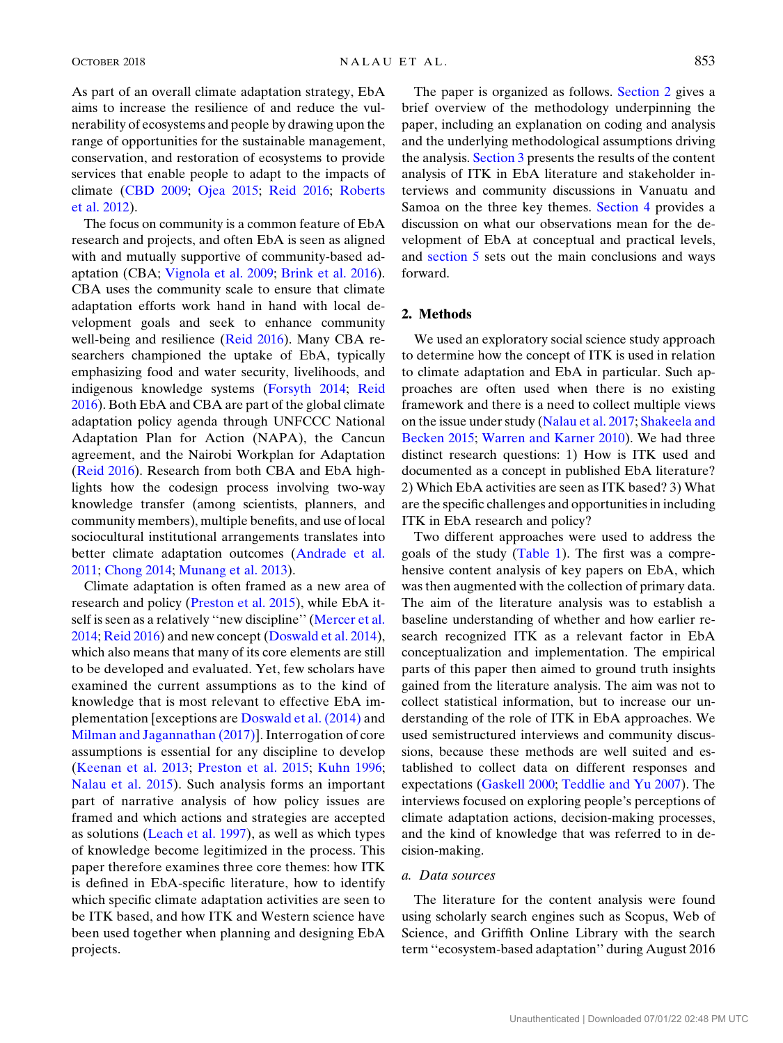As part of an overall climate adaptation strategy, EbA aims to increase the resilience of and reduce the vulnerability of ecosystems and people by drawing upon the range of opportunities for the sustainable management, conservation, and restoration of ecosystems to provide services that enable people to adapt to the impacts of climate ([CBD 2009;](#page-12-9) [Ojea 2015](#page-13-10); [Reid 2016;](#page-13-11) [Roberts](#page-14-5) [et al. 2012\)](#page-14-5).

The focus on community is a common feature of EbA research and projects, and often EbA is seen as aligned with and mutually supportive of community-based adaptation (CBA; [Vignola et al. 2009](#page-14-6); [Brink et al. 2016\)](#page-11-2). CBA uses the community scale to ensure that climate adaptation efforts work hand in hand with local development goals and seek to enhance community well-being and resilience ([Reid 2016](#page-13-11)). Many CBA researchers championed the uptake of EbA, typically emphasizing food and water security, livelihoods, and indigenous knowledge systems [\(Forsyth 2014;](#page-12-10) [Reid](#page-13-11) [2016\)](#page-13-11). Both EbA and CBA are part of the global climate adaptation policy agenda through UNFCCC National Adaptation Plan for Action (NAPA), the Cancun agreement, and the Nairobi Workplan for Adaptation [\(Reid 2016](#page-13-11)). Research from both CBA and EbA highlights how the codesign process involving two-way knowledge transfer (among scientists, planners, and community members), multiple benefits, and use of local sociocultural institutional arrangements translates into better climate adaptation outcomes [\(Andrade et al.](#page-11-3) [2011;](#page-11-3) [Chong 2014](#page-12-7); [Munang et al. 2013](#page-13-9)).

Climate adaptation is often framed as a new area of research and policy ([Preston et al. 2015\)](#page-13-12), while EbA it-self is seen as a relatively "new discipline" ([Mercer et al.](#page-13-8) [2014;](#page-13-8) [Reid 2016\)](#page-13-11) and new concept ([Doswald et al. 2014\)](#page-12-11), which also means that many of its core elements are still to be developed and evaluated. Yet, few scholars have examined the current assumptions as to the kind of knowledge that is most relevant to effective EbA implementation [exceptions are [Doswald et al. \(2014\)](#page-12-11) and [Milman and Jagannathan \(2017\)](#page-13-13)]. Interrogation of core assumptions is essential for any discipline to develop ([Keenan et al. 2013;](#page-13-14) [Preston et al. 2015;](#page-13-12) [Kuhn 1996;](#page-13-15) [Nalau et al. 2015](#page-13-16)). Such analysis forms an important part of narrative analysis of how policy issues are framed and which actions and strategies are accepted as solutions ([Leach et al. 1997](#page-13-17)), as well as which types of knowledge become legitimized in the process. This paper therefore examines three core themes: how ITK is defined in EbA-specific literature, how to identify which specific climate adaptation activities are seen to be ITK based, and how ITK and Western science have been used together when planning and designing EbA projects.

The paper is organized as follows. [Section 2](#page-2-0) gives a brief overview of the methodology underpinning the paper, including an explanation on coding and analysis and the underlying methodological assumptions driving the analysis. [Section 3](#page-4-0) presents the results of the content analysis of ITK in EbA literature and stakeholder interviews and community discussions in Vanuatu and Samoa on the three key themes. [Section 4](#page-9-0) provides a discussion on what our observations mean for the development of EbA at conceptual and practical levels, and [section 5](#page-11-4) sets out the main conclusions and ways forward.

## <span id="page-2-0"></span>2. Methods

We used an exploratory social science study approach to determine how the concept of ITK is used in relation to climate adaptation and EbA in particular. Such approaches are often used when there is no existing framework and there is a need to collect multiple views on the issue under study [\(Nalau et al. 2017;](#page-13-6) [Shakeela and](#page-14-7) [Becken 2015;](#page-14-7) [Warren and Karner 2010\)](#page-14-8). We had three distinct research questions: 1) How is ITK used and documented as a concept in published EbA literature? 2) Which EbA activities are seen as ITK based? 3) What are the specific challenges and opportunities in including ITK in EbA research and policy?

Two different approaches were used to address the goals of the study ([Table 1\)](#page-3-0). The first was a comprehensive content analysis of key papers on EbA, which was then augmented with the collection of primary data. The aim of the literature analysis was to establish a baseline understanding of whether and how earlier research recognized ITK as a relevant factor in EbA conceptualization and implementation. The empirical parts of this paper then aimed to ground truth insights gained from the literature analysis. The aim was not to collect statistical information, but to increase our understanding of the role of ITK in EbA approaches. We used semistructured interviews and community discussions, because these methods are well suited and established to collect data on different responses and expectations ([Gaskell 2000;](#page-12-12) [Teddlie and Yu 2007](#page-14-9)). The interviews focused on exploring people's perceptions of climate adaptation actions, decision-making processes, and the kind of knowledge that was referred to in decision-making.

## a. Data sources

The literature for the content analysis were found using scholarly search engines such as Scopus, Web of Science, and Griffith Online Library with the search term ''ecosystem-based adaptation'' during August 2016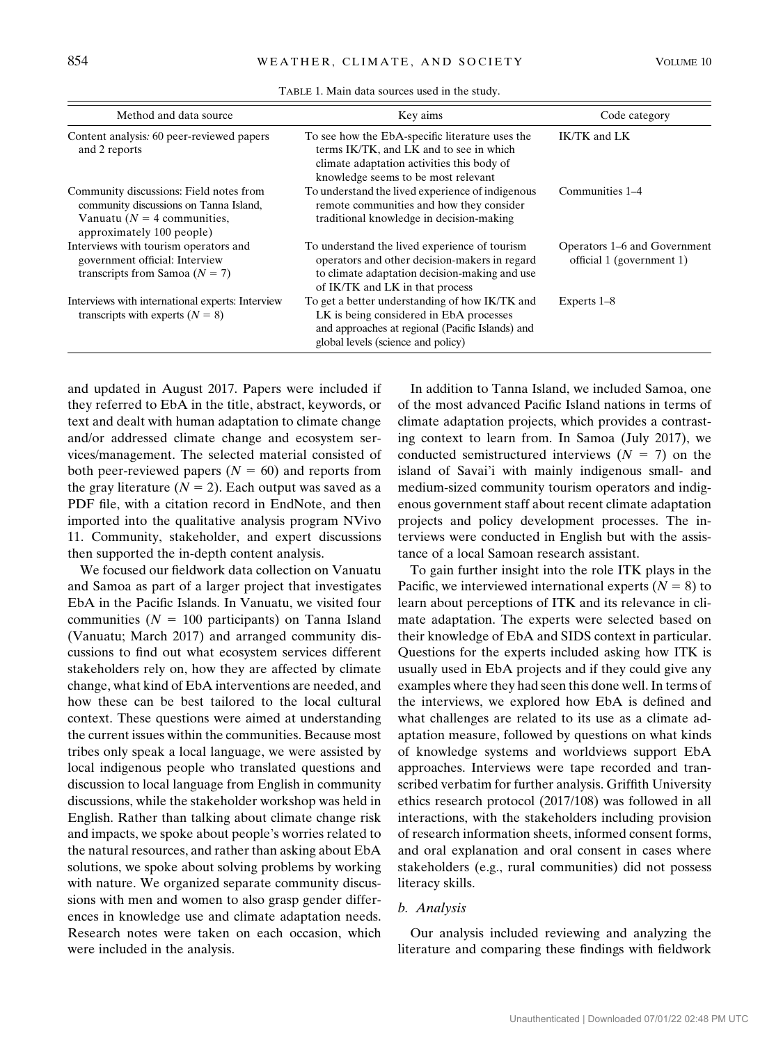<span id="page-3-0"></span>

| Method and data source                                                                                                                           | Key aims                                                                                                                                                                            | Code category                                             |
|--------------------------------------------------------------------------------------------------------------------------------------------------|-------------------------------------------------------------------------------------------------------------------------------------------------------------------------------------|-----------------------------------------------------------|
| Content analysis: 60 peer-reviewed papers<br>and 2 reports                                                                                       | To see how the EbA-specific literature uses the<br>terms IK/TK, and LK and to see in which<br>climate adaptation activities this body of<br>knowledge seems to be most relevant     | IK/TK and LK                                              |
| Community discussions: Field notes from<br>community discussions on Tanna Island,<br>Vanuatu ( $N = 4$ communities,<br>approximately 100 people) | To understand the lived experience of indigenous<br>remote communities and how they consider<br>traditional knowledge in decision-making                                            | Communities 1–4                                           |
| Interviews with tourism operators and<br>government official: Interview<br>transcripts from Samoa $(N = 7)$                                      | To understand the lived experience of tourism<br>operators and other decision-makers in regard<br>to climate adaptation decision-making and use<br>of IK/TK and LK in that process  | Operators 1–6 and Government<br>official 1 (government 1) |
| Interviews with international experts: Interview<br>transcripts with experts $(N = 8)$                                                           | To get a better understanding of how IK/TK and<br>LK is being considered in EbA processes<br>and approaches at regional (Pacific Islands) and<br>global levels (science and policy) | Experts $1-8$                                             |

TABLE 1. Main data sources used in the study.

and updated in August 2017. Papers were included if they referred to EbA in the title, abstract, keywords, or text and dealt with human adaptation to climate change and/or addressed climate change and ecosystem services/management. The selected material consisted of both peer-reviewed papers  $(N = 60)$  and reports from the gray literature ( $N = 2$ ). Each output was saved as a PDF file, with a citation record in EndNote, and then imported into the qualitative analysis program NVivo 11. Community, stakeholder, and expert discussions then supported the in-depth content analysis.

We focused our fieldwork data collection on Vanuatu and Samoa as part of a larger project that investigates EbA in the Pacific Islands. In Vanuatu, we visited four communities ( $N = 100$  participants) on Tanna Island (Vanuatu; March 2017) and arranged community discussions to find out what ecosystem services different stakeholders rely on, how they are affected by climate change, what kind of EbA interventions are needed, and how these can be best tailored to the local cultural context. These questions were aimed at understanding the current issues within the communities. Because most tribes only speak a local language, we were assisted by local indigenous people who translated questions and discussion to local language from English in community discussions, while the stakeholder workshop was held in English. Rather than talking about climate change risk and impacts, we spoke about people's worries related to the natural resources, and rather than asking about EbA solutions, we spoke about solving problems by working with nature. We organized separate community discussions with men and women to also grasp gender differences in knowledge use and climate adaptation needs. Research notes were taken on each occasion, which were included in the analysis.

In addition to Tanna Island, we included Samoa, one of the most advanced Pacific Island nations in terms of climate adaptation projects, which provides a contrasting context to learn from. In Samoa (July 2017), we conducted semistructured interviews  $(N = 7)$  on the island of Savai'i with mainly indigenous small- and medium-sized community tourism operators and indigenous government staff about recent climate adaptation projects and policy development processes. The interviews were conducted in English but with the assistance of a local Samoan research assistant.

To gain further insight into the role ITK plays in the Pacific, we interviewed international experts  $(N = 8)$  to learn about perceptions of ITK and its relevance in climate adaptation. The experts were selected based on their knowledge of EbA and SIDS context in particular. Questions for the experts included asking how ITK is usually used in EbA projects and if they could give any examples where they had seen this done well. In terms of the interviews, we explored how EbA is defined and what challenges are related to its use as a climate adaptation measure, followed by questions on what kinds of knowledge systems and worldviews support EbA approaches. Interviews were tape recorded and transcribed verbatim for further analysis. Griffith University ethics research protocol (2017/108) was followed in all interactions, with the stakeholders including provision of research information sheets, informed consent forms, and oral explanation and oral consent in cases where stakeholders (e.g., rural communities) did not possess literacy skills.

# b. Analysis

Our analysis included reviewing and analyzing the literature and comparing these findings with fieldwork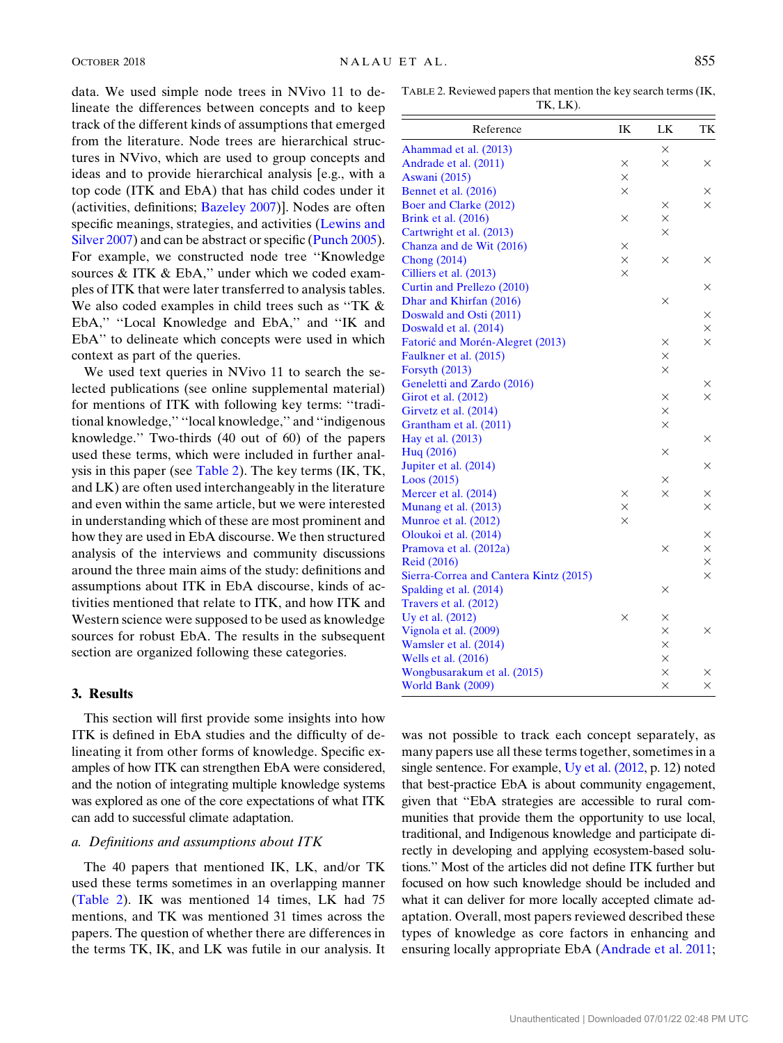data. We used simple node trees in NVivo 11 to delineate the differences between concepts and to keep track of the different kinds of assumptions that emerged from the literature. Node trees are hierarchical structures in NVivo, which are used to group concepts and ideas and to provide hierarchical analysis [e.g., with a top code (ITK and EbA) that has child codes under it (activities, definitions; [Bazeley 2007](#page-11-5))]. Nodes are often specific meanings, strategies, and activities ([Lewins and](#page-13-18) [Silver 2007](#page-13-18)) and can be abstract or specific ([Punch 2005\)](#page-13-19). For example, we constructed node tree ''Knowledge sources & ITK & EbA," under which we coded examples of ITK that were later transferred to analysis tables. We also coded examples in child trees such as "TK & EbA," "Local Knowledge and EbA," and "IK and EbA'' to delineate which concepts were used in which context as part of the queries.

We used text queries in NVivo 11 to search the selected publications (see online supplemental material) for mentions of ITK with following key terms: ''traditional knowledge,'' ''local knowledge,'' and ''indigenous knowledge.'' Two-thirds (40 out of 60) of the papers used these terms, which were included in further analysis in this paper (see [Table 2](#page-4-1)). The key terms (IK, TK, and LK) are often used interchangeably in the literature and even within the same article, but we were interested in understanding which of these are most prominent and how they are used in EbA discourse. We then structured analysis of the interviews and community discussions around the three main aims of the study: definitions and assumptions about ITK in EbA discourse, kinds of activities mentioned that relate to ITK, and how ITK and Western science were supposed to be used as knowledge sources for robust EbA. The results in the subsequent section are organized following these categories.

#### <span id="page-4-0"></span>3. Results

This section will first provide some insights into how ITK is defined in EbA studies and the difficulty of delineating it from other forms of knowledge. Specific examples of how ITK can strengthen EbA were considered, and the notion of integrating multiple knowledge systems was explored as one of the core expectations of what ITK can add to successful climate adaptation.

## a. Definitions and assumptions about ITK

The 40 papers that mentioned IK, LK, and/or TK used these terms sometimes in an overlapping manner [\(Table 2](#page-4-1)). IK was mentioned 14 times, LK had 75 mentions, and TK was mentioned 31 times across the papers. The question of whether there are differences in the terms TK, IK, and LK was futile in our analysis. It

<span id="page-4-1"></span>TABLE 2. Reviewed papers that mention the key search terms (IK, TK, LK).

| Reference                              | IK       | LK       | TК       |
|----------------------------------------|----------|----------|----------|
| Ahammad et al. (2013)                  |          | $\times$ |          |
| Andrade et al. (2011)                  | ×        | $\times$ | ×        |
| <b>Aswani</b> (2015)                   | $\times$ |          |          |
| Bennet et al. (2016)                   | $\times$ |          | X        |
| Boer and Clarke (2012)                 |          | $\times$ | $\times$ |
| Brink et al. (2016)                    | $\times$ | $\times$ |          |
| Cartwright et al. (2013)               |          | $\times$ |          |
| Chanza and de Wit (2016)               | $\times$ |          |          |
| <b>Chong</b> (2014)                    | $\times$ | $\times$ | ×        |
| Cilliers et al. (2013)                 | $\times$ |          |          |
| Curtin and Prellezo (2010)             |          |          | X        |
| Dhar and Khirfan (2016)                |          | ×        |          |
| Doswald and Osti (2011)                |          |          | ×        |
| Doswald et al. (2014)                  |          |          | $\times$ |
| Fatorić and Morén-Alegret (2013)       |          | ×        | X        |
| Faulkner et al. (2015)                 |          | $\times$ |          |
| Forsyth (2013)                         |          | $\times$ |          |
| Geneletti and Zardo (2016)             |          |          | ×        |
| Girot et al. (2012)                    |          | $\times$ | $\times$ |
| Girvetz et al. (2014)                  |          | ×        |          |
| Grantham et al. (2011)                 |          | $\times$ |          |
| Hay et al. (2013)                      |          |          | ×        |
| Hug (2016)                             |          | ×        |          |
| Jupiter et al. (2014)                  |          |          | ×        |
| Loos(2015)                             |          | $\times$ |          |
| Mercer et al. (2014)                   | $\times$ | $\times$ | ×        |
| Munang et al. (2013)                   | $\times$ |          | $\times$ |
| Munroe et al. (2012)                   | $\times$ |          |          |
| Oloukoi et al. (2014)                  |          |          | ×        |
| Pramova et al. (2012a)                 |          | $\times$ | $\times$ |
| <b>Reid (2016)</b>                     |          |          | $\times$ |
| Sierra-Correa and Cantera Kintz (2015) |          |          | $\times$ |
| Spalding et al. (2014)                 |          | ×        |          |
| Travers et al. (2012)                  |          |          |          |
| Uy et al. (2012)                       | $\times$ | $\times$ |          |
| Vignola et al. (2009)                  |          | $\times$ | $\times$ |
| Wamsler et al. (2014)                  |          | $\times$ |          |
| Wells et al. (2016)                    |          | $\times$ |          |
| Wongbusarakum et al. (2015)            |          | ×        | ×        |
| World Bank (2009)                      |          | $\times$ | $\times$ |

was not possible to track each concept separately, as many papers use all these terms together, sometimes in a single sentence. For example, [Uy et al. \(2012](#page-14-10), p. 12) noted that best-practice EbA is about community engagement, given that ''EbA strategies are accessible to rural communities that provide them the opportunity to use local, traditional, and Indigenous knowledge and participate directly in developing and applying ecosystem-based solutions.'' Most of the articles did not define ITK further but focused on how such knowledge should be included and what it can deliver for more locally accepted climate adaptation. Overall, most papers reviewed described these types of knowledge as core factors in enhancing and ensuring locally appropriate EbA ([Andrade et al. 2011;](#page-11-3)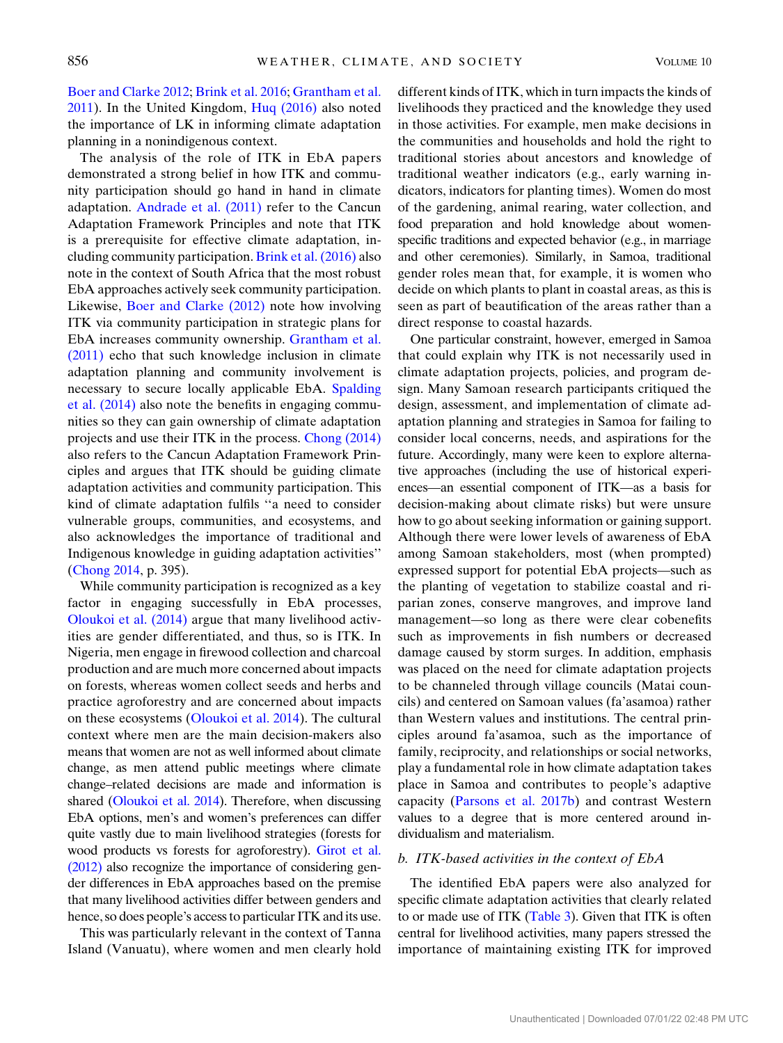[Boer and Clarke 2012](#page-11-9); [Brink et al. 2016;](#page-11-2) [Grantham et al.](#page-12-24) [2011\)](#page-12-24). In the United Kingdom, [Huq \(2016\)](#page-12-26) also noted the importance of LK in informing climate adaptation planning in a nonindigenous context.

The analysis of the role of ITK in EbA papers demonstrated a strong belief in how ITK and community participation should go hand in hand in climate adaptation. [Andrade et al. \(2011\)](#page-11-3) refer to the Cancun Adaptation Framework Principles and note that ITK is a prerequisite for effective climate adaptation, including community participation. [Brink et al. \(2016\)](#page-11-2) also note in the context of South Africa that the most robust EbA approaches actively seek community participation. Likewise, [Boer and Clarke \(2012\)](#page-11-9) note how involving ITK via community participation in strategic plans for EbA increases community ownership. [Grantham et al.](#page-12-24) [\(2011\)](#page-12-24) echo that such knowledge inclusion in climate adaptation planning and community involvement is necessary to secure locally applicable EbA. [Spalding](#page-14-12) [et al. \(2014\)](#page-14-12) also note the benefits in engaging communities so they can gain ownership of climate adaptation projects and use their ITK in the process. [Chong \(2014\)](#page-12-7) also refers to the Cancun Adaptation Framework Principles and argues that ITK should be guiding climate adaptation activities and community participation. This kind of climate adaptation fulfils ''a need to consider vulnerable groups, communities, and ecosystems, and also acknowledges the importance of traditional and Indigenous knowledge in guiding adaptation activities'' ([Chong 2014](#page-12-7), p. 395).

While community participation is recognized as a key factor in engaging successfully in EbA processes, [Oloukoi et al. \(2014\)](#page-13-22) argue that many livelihood activities are gender differentiated, and thus, so is ITK. In Nigeria, men engage in firewood collection and charcoal production and are much more concerned about impacts on forests, whereas women collect seeds and herbs and practice agroforestry and are concerned about impacts on these ecosystems [\(Oloukoi et al. 2014\)](#page-13-22). The cultural context where men are the main decision-makers also means that women are not as well informed about climate change, as men attend public meetings where climate change–related decisions are made and information is shared ([Oloukoi et al. 2014\)](#page-13-22). Therefore, when discussing EbA options, men's and women's preferences can differ quite vastly due to main livelihood strategies (forests for wood products vs forests for agroforestry). [Girot et al.](#page-12-22) [\(2012\)](#page-12-22) also recognize the importance of considering gender differences in EbA approaches based on the premise that many livelihood activities differ between genders and hence, so does people's access to particular ITK and its use.

This was particularly relevant in the context of Tanna Island (Vanuatu), where women and men clearly hold different kinds of ITK, which in turn impacts the kinds of livelihoods they practiced and the knowledge they used in those activities. For example, men make decisions in the communities and households and hold the right to traditional stories about ancestors and knowledge of traditional weather indicators (e.g., early warning indicators, indicators for planting times). Women do most of the gardening, animal rearing, water collection, and food preparation and hold knowledge about womenspecific traditions and expected behavior (e.g., in marriage and other ceremonies). Similarly, in Samoa, traditional gender roles mean that, for example, it is women who decide on which plants to plant in coastal areas, as this is seen as part of beautification of the areas rather than a direct response to coastal hazards.

One particular constraint, however, emerged in Samoa that could explain why ITK is not necessarily used in climate adaptation projects, policies, and program design. Many Samoan research participants critiqued the design, assessment, and implementation of climate adaptation planning and strategies in Samoa for failing to consider local concerns, needs, and aspirations for the future. Accordingly, many were keen to explore alternative approaches (including the use of historical experiences—an essential component of ITK—as a basis for decision-making about climate risks) but were unsure how to go about seeking information or gaining support. Although there were lower levels of awareness of EbA among Samoan stakeholders, most (when prompted) expressed support for potential EbA projects—such as the planting of vegetation to stabilize coastal and riparian zones, conserve mangroves, and improve land management—so long as there were clear cobenefits such as improvements in fish numbers or decreased damage caused by storm surges. In addition, emphasis was placed on the need for climate adaptation projects to be channeled through village councils (Matai councils) and centered on Samoan values (fa'asamoa) rather than Western values and institutions. The central principles around fa'asamoa, such as the importance of family, reciprocity, and relationships or social networks, play a fundamental role in how climate adaptation takes place in Samoa and contributes to people's adaptive capacity ([Parsons et al. 2017b](#page-13-7)) and contrast Western values to a degree that is more centered around individualism and materialism.

# b. ITK-based activities in the context of EbA

The identified EbA papers were also analyzed for specific climate adaptation activities that clearly related to or made use of ITK [\(Table 3](#page-6-0)). Given that ITK is often central for livelihood activities, many papers stressed the importance of maintaining existing ITK for improved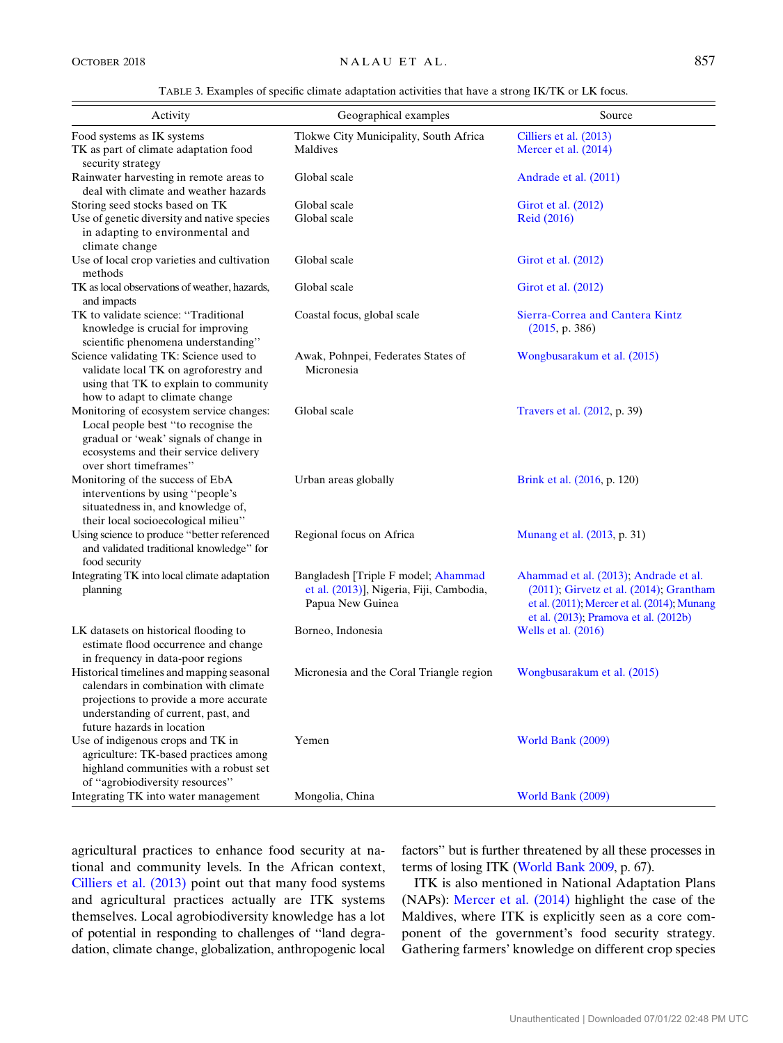TABLE 3. Examples of specific climate adaptation activities that have a strong IK/TK or LK focus.

<span id="page-6-0"></span>

| Activity                                                                                                                                                                                          | Geographical examples                                                                               | Source                                                                                                                                                                               |
|---------------------------------------------------------------------------------------------------------------------------------------------------------------------------------------------------|-----------------------------------------------------------------------------------------------------|--------------------------------------------------------------------------------------------------------------------------------------------------------------------------------------|
| Food systems as IK systems<br>TK as part of climate adaptation food<br>security strategy                                                                                                          | Tlokwe City Municipality, South Africa<br>Maldives                                                  | Cilliers et al. (2013)<br>Mercer et al. $(2014)$                                                                                                                                     |
| Rainwater harvesting in remote areas to<br>deal with climate and weather hazards                                                                                                                  | Global scale                                                                                        | Andrade et al. (2011)                                                                                                                                                                |
| Storing seed stocks based on TK<br>Use of genetic diversity and native species<br>in adapting to environmental and                                                                                | Global scale<br>Global scale                                                                        | Girot et al. (2012)<br><b>Reid</b> (2016)                                                                                                                                            |
| climate change<br>Use of local crop varieties and cultivation<br>methods                                                                                                                          | Global scale                                                                                        | Girot et al. $(2012)$                                                                                                                                                                |
| TK as local observations of weather, hazards,<br>and impacts                                                                                                                                      | Global scale                                                                                        | Girot et al. (2012)                                                                                                                                                                  |
| TK to validate science: "Traditional<br>knowledge is crucial for improving<br>scientific phenomena understanding"                                                                                 | Coastal focus, global scale                                                                         | Sierra-Correa and Cantera Kintz<br>(2015, p. 386)                                                                                                                                    |
| Science validating TK: Science used to<br>validate local TK on agroforestry and<br>using that TK to explain to community<br>how to adapt to climate change                                        | Awak, Pohnpei, Federates States of<br>Micronesia                                                    | Wongbusarakum et al. (2015)                                                                                                                                                          |
| Monitoring of ecosystem service changes:<br>Local people best "to recognise the<br>gradual or 'weak' signals of change in<br>ecosystems and their service delivery<br>over short timeframes"      | Global scale                                                                                        | Travers et al. (2012, p. 39)                                                                                                                                                         |
| Monitoring of the success of EbA<br>interventions by using "people's<br>situatedness in, and knowledge of,<br>their local socioecological milieu"                                                 | Urban areas globally                                                                                | Brink et al. (2016, p. 120)                                                                                                                                                          |
| Using science to produce "better referenced<br>and validated traditional knowledge" for<br>food security                                                                                          | Regional focus on Africa                                                                            | Munang et al. (2013, p. 31)                                                                                                                                                          |
| Integrating TK into local climate adaptation<br>planning                                                                                                                                          | Bangladesh [Triple F model; Ahammad<br>et al. (2013)], Nigeria, Fiji, Cambodia,<br>Papua New Guinea | Ahammad et al. (2013); Andrade et al.<br>$(2011)$ ; Girvetz et al. $(2014)$ ; Grantham<br>et al. $(2011)$ , Mercer et al. $(2014)$ , Munang<br>et al. (2013); Pramova et al. (2012b) |
| LK datasets on historical flooding to<br>estimate flood occurrence and change<br>in frequency in data-poor regions                                                                                | Borneo, Indonesia                                                                                   | Wells et al. (2016)                                                                                                                                                                  |
| Historical timelines and mapping seasonal<br>calendars in combination with climate<br>projections to provide a more accurate<br>understanding of current, past, and<br>future hazards in location | Micronesia and the Coral Triangle region                                                            | Wongbusarakum et al. (2015)                                                                                                                                                          |
| Use of indigenous crops and TK in<br>agriculture: TK-based practices among<br>highland communities with a robust set<br>of "agrobiodiversity resources"                                           | Yemen                                                                                               | World Bank (2009)                                                                                                                                                                    |
| Integrating TK into water management                                                                                                                                                              | Mongolia, China                                                                                     | World Bank (2009)                                                                                                                                                                    |

agricultural practices to enhance food security at national and community levels. In the African context, [Cilliers et al. \(2013\)](#page-12-14) point out that many food systems and agricultural practices actually are ITK systems themselves. Local agrobiodiversity knowledge has a lot of potential in responding to challenges of ''land degradation, climate change, globalization, anthropogenic local factors'' but is further threatened by all these processes in terms of losing ITK ([World Bank 2009](#page-14-17), p. 67).

ITK is also mentioned in National Adaptation Plans (NAPs): [Mercer et al. \(2014\)](#page-13-8) highlight the case of the Maldives, where ITK is explicitly seen as a core component of the government's food security strategy. Gathering farmers' knowledge on different crop species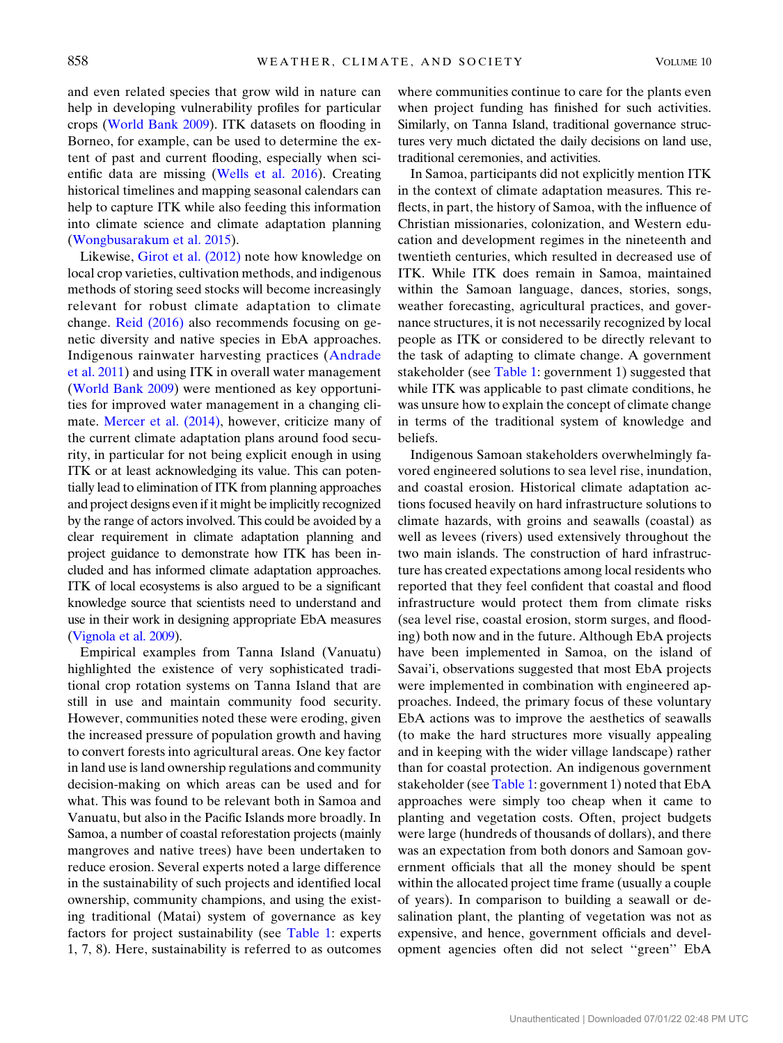and even related species that grow wild in nature can help in developing vulnerability profiles for particular crops ([World Bank 2009](#page-14-17)). ITK datasets on flooding in Borneo, for example, can be used to determine the extent of past and current flooding, especially when scientific data are missing ([Wells et al. 2016](#page-14-15)). Creating historical timelines and mapping seasonal calendars can help to capture ITK while also feeding this information into climate science and climate adaptation planning ([Wongbusarakum et al. 2015](#page-14-16)).

Likewise, [Girot et al. \(2012\)](#page-12-22) note how knowledge on local crop varieties, cultivation methods, and indigenous methods of storing seed stocks will become increasingly relevant for robust climate adaptation to climate change. [Reid \(2016\)](#page-13-11) also recommends focusing on genetic diversity and native species in EbA approaches. Indigenous rainwater harvesting practices ([Andrade](#page-11-3) [et al. 2011](#page-11-3)) and using ITK in overall water management ([World Bank 2009\)](#page-14-17) were mentioned as key opportunities for improved water management in a changing climate. [Mercer et al. \(2014\)](#page-13-8), however, criticize many of the current climate adaptation plans around food security, in particular for not being explicit enough in using ITK or at least acknowledging its value. This can potentially lead to elimination of ITK from planning approaches and project designs even if it might be implicitly recognized by the range of actors involved. This could be avoided by a clear requirement in climate adaptation planning and project guidance to demonstrate how ITK has been included and has informed climate adaptation approaches. ITK of local ecosystems is also argued to be a significant knowledge source that scientists need to understand and use in their work in designing appropriate EbA measures [\(Vignola et al. 2009](#page-14-6)).

Empirical examples from Tanna Island (Vanuatu) highlighted the existence of very sophisticated traditional crop rotation systems on Tanna Island that are still in use and maintain community food security. However, communities noted these were eroding, given the increased pressure of population growth and having to convert forests into agricultural areas. One key factor in land use is land ownership regulations and community decision-making on which areas can be used and for what. This was found to be relevant both in Samoa and Vanuatu, but also in the Pacific Islands more broadly. In Samoa, a number of coastal reforestation projects (mainly mangroves and native trees) have been undertaken to reduce erosion. Several experts noted a large difference in the sustainability of such projects and identified local ownership, community champions, and using the existing traditional (Matai) system of governance as key factors for project sustainability (see [Table 1](#page-3-0): experts 1, 7, 8). Here, sustainability is referred to as outcomes where communities continue to care for the plants even when project funding has finished for such activities. Similarly, on Tanna Island, traditional governance structures very much dictated the daily decisions on land use, traditional ceremonies, and activities.

In Samoa, participants did not explicitly mention ITK in the context of climate adaptation measures. This reflects, in part, the history of Samoa, with the influence of Christian missionaries, colonization, and Western education and development regimes in the nineteenth and twentieth centuries, which resulted in decreased use of ITK. While ITK does remain in Samoa, maintained within the Samoan language, dances, stories, songs, weather forecasting, agricultural practices, and governance structures, it is not necessarily recognized by local people as ITK or considered to be directly relevant to the task of adapting to climate change. A government stakeholder (see [Table 1:](#page-3-0) government 1) suggested that while ITK was applicable to past climate conditions, he was unsure how to explain the concept of climate change in terms of the traditional system of knowledge and beliefs.

Indigenous Samoan stakeholders overwhelmingly favored engineered solutions to sea level rise, inundation, and coastal erosion. Historical climate adaptation actions focused heavily on hard infrastructure solutions to climate hazards, with groins and seawalls (coastal) as well as levees (rivers) used extensively throughout the two main islands. The construction of hard infrastructure has created expectations among local residents who reported that they feel confident that coastal and flood infrastructure would protect them from climate risks (sea level rise, coastal erosion, storm surges, and flooding) both now and in the future. Although EbA projects have been implemented in Samoa, on the island of Savai'i, observations suggested that most EbA projects were implemented in combination with engineered approaches. Indeed, the primary focus of these voluntary EbA actions was to improve the aesthetics of seawalls (to make the hard structures more visually appealing and in keeping with the wider village landscape) rather than for coastal protection. An indigenous government stakeholder (see [Table 1:](#page-3-0) government 1) noted that EbA approaches were simply too cheap when it came to planting and vegetation costs. Often, project budgets were large (hundreds of thousands of dollars), and there was an expectation from both donors and Samoan government officials that all the money should be spent within the allocated project time frame (usually a couple of years). In comparison to building a seawall or desalination plant, the planting of vegetation was not as expensive, and hence, government officials and development agencies often did not select ''green'' EbA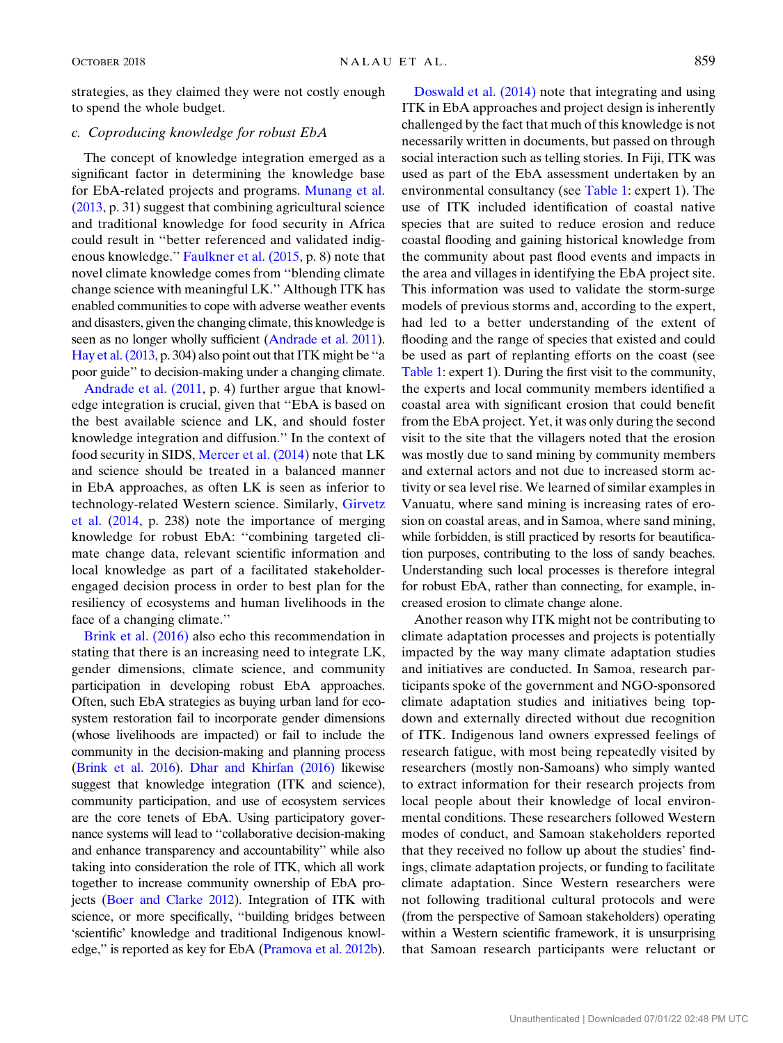strategies, as they claimed they were not costly enough to spend the whole budget.

# c. Coproducing knowledge for robust EbA

The concept of knowledge integration emerged as a significant factor in determining the knowledge base for EbA-related projects and programs. [Munang et al.](#page-13-9) [\(2013](#page-13-9), p. 31) suggest that combining agricultural science and traditional knowledge for food security in Africa could result in ''better referenced and validated indigenous knowledge.'' [Faulkner et al. \(2015,](#page-12-19) p. 8) note that novel climate knowledge comes from ''blending climate change science with meaningful LK.'' Although ITK has enabled communities to cope with adverse weather events and disasters, given the changing climate, this knowledge is seen as no longer wholly sufficient ([Andrade et al. 2011](#page-11-3)). [Hay et al. \(2013](#page-12-25), p. 304) also point out that ITK might be ''a poor guide'' to decision-making under a changing climate.

[Andrade et al. \(2011](#page-11-3), p. 4) further argue that knowledge integration is crucial, given that ''EbA is based on the best available science and LK, and should foster knowledge integration and diffusion.'' In the context of food security in SIDS, [Mercer et al. \(2014\)](#page-13-8) note that LK and science should be treated in a balanced manner in EbA approaches, as often LK is seen as inferior to technology-related Western science. Similarly, [Girvetz](#page-12-23) [et al. \(2014,](#page-12-23) p. 238) note the importance of merging knowledge for robust EbA: ''combining targeted climate change data, relevant scientific information and local knowledge as part of a facilitated stakeholderengaged decision process in order to best plan for the resiliency of ecosystems and human livelihoods in the face of a changing climate.''

[Brink et al. \(2016\)](#page-11-2) also echo this recommendation in stating that there is an increasing need to integrate LK, gender dimensions, climate science, and community participation in developing robust EbA approaches. Often, such EbA strategies as buying urban land for ecosystem restoration fail to incorporate gender dimensions (whose livelihoods are impacted) or fail to include the community in the decision-making and planning process [\(Brink et al. 2016\)](#page-11-2). [Dhar and Khirfan \(2016\)](#page-12-16) likewise suggest that knowledge integration (ITK and science), community participation, and use of ecosystem services are the core tenets of EbA. Using participatory governance systems will lead to ''collaborative decision-making and enhance transparency and accountability'' while also taking into consideration the role of ITK, which all work together to increase community ownership of EbA projects [\(Boer and Clarke 2012\)](#page-11-9). Integration of ITK with science, or more specifically, ''building bridges between 'scientific' knowledge and traditional Indigenous knowledge,'' is reported as key for EbA ([Pramova et al. 2012b](#page-13-24)).

[Doswald et al. \(2014\)](#page-12-11) note that integrating and using ITK in EbA approaches and project design is inherently challenged by the fact that much of this knowledge is not necessarily written in documents, but passed on through social interaction such as telling stories. In Fiji, ITK was used as part of the EbA assessment undertaken by an environmental consultancy (see [Table 1:](#page-3-0) expert 1). The use of ITK included identification of coastal native species that are suited to reduce erosion and reduce coastal flooding and gaining historical knowledge from the community about past flood events and impacts in the area and villages in identifying the EbA project site. This information was used to validate the storm-surge models of previous storms and, according to the expert, had led to a better understanding of the extent of flooding and the range of species that existed and could be used as part of replanting efforts on the coast (see [Table 1](#page-3-0): expert 1). During the first visit to the community, the experts and local community members identified a coastal area with significant erosion that could benefit from the EbA project. Yet, it was only during the second visit to the site that the villagers noted that the erosion was mostly due to sand mining by community members and external actors and not due to increased storm activity or sea level rise. We learned of similar examples in Vanuatu, where sand mining is increasing rates of erosion on coastal areas, and in Samoa, where sand mining, while forbidden, is still practiced by resorts for beautification purposes, contributing to the loss of sandy beaches. Understanding such local processes is therefore integral for robust EbA, rather than connecting, for example, increased erosion to climate change alone.

Another reason why ITK might not be contributing to climate adaptation processes and projects is potentially impacted by the way many climate adaptation studies and initiatives are conducted. In Samoa, research participants spoke of the government and NGO-sponsored climate adaptation studies and initiatives being topdown and externally directed without due recognition of ITK. Indigenous land owners expressed feelings of research fatigue, with most being repeatedly visited by researchers (mostly non-Samoans) who simply wanted to extract information for their research projects from local people about their knowledge of local environmental conditions. These researchers followed Western modes of conduct, and Samoan stakeholders reported that they received no follow up about the studies' findings, climate adaptation projects, or funding to facilitate climate adaptation. Since Western researchers were not following traditional cultural protocols and were (from the perspective of Samoan stakeholders) operating within a Western scientific framework, it is unsurprising that Samoan research participants were reluctant or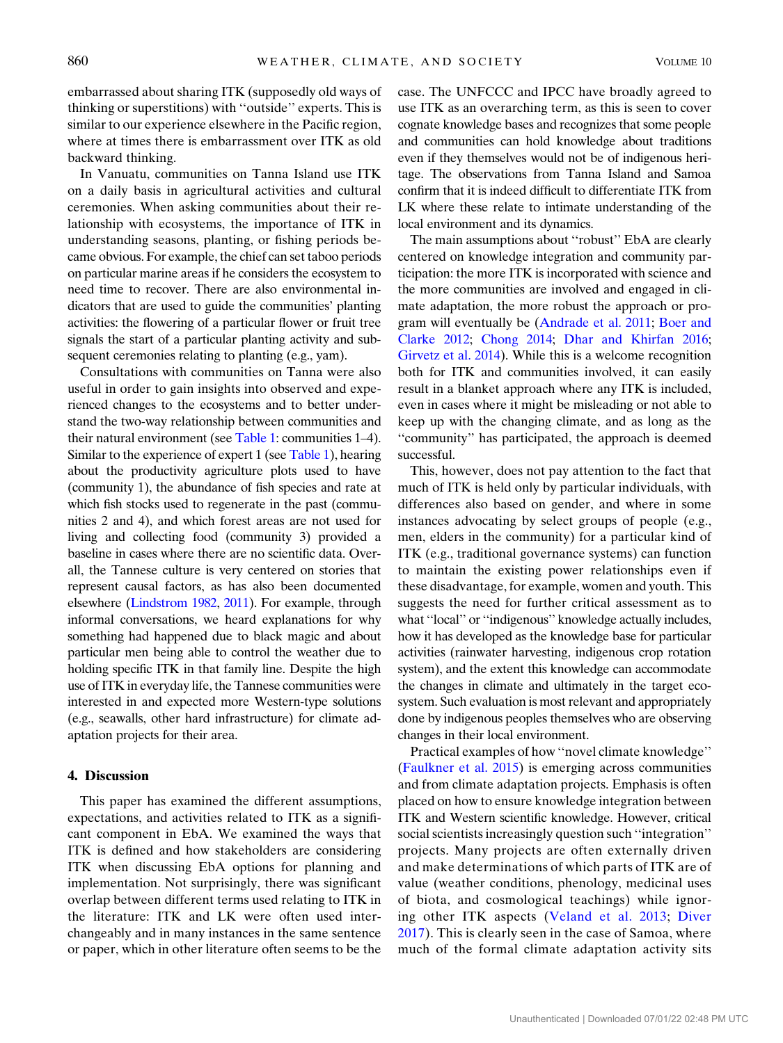embarrassed about sharing ITK (supposedly old ways of thinking or superstitions) with ''outside'' experts. This is similar to our experience elsewhere in the Pacific region, where at times there is embarrassment over ITK as old backward thinking.

In Vanuatu, communities on Tanna Island use ITK on a daily basis in agricultural activities and cultural ceremonies. When asking communities about their relationship with ecosystems, the importance of ITK in understanding seasons, planting, or fishing periods became obvious. For example, the chief can set taboo periods on particular marine areas if he considers the ecosystem to need time to recover. There are also environmental indicators that are used to guide the communities' planting activities: the flowering of a particular flower or fruit tree signals the start of a particular planting activity and subsequent ceremonies relating to planting (e.g., yam).

Consultations with communities on Tanna were also useful in order to gain insights into observed and experienced changes to the ecosystems and to better understand the two-way relationship between communities and their natural environment (see [Table 1:](#page-3-0) communities 1–4). Similar to the experience of expert 1 (see [Table 1\)](#page-3-0), hearing about the productivity agriculture plots used to have (community 1), the abundance of fish species and rate at which fish stocks used to regenerate in the past (communities 2 and 4), and which forest areas are not used for living and collecting food (community 3) provided a baseline in cases where there are no scientific data. Overall, the Tannese culture is very centered on stories that represent causal factors, as has also been documented elsewhere ([Lindstrom 1982,](#page-13-25) [2011](#page-13-26)). For example, through informal conversations, we heard explanations for why something had happened due to black magic and about particular men being able to control the weather due to holding specific ITK in that family line. Despite the high use of ITK in everyday life, the Tannese communities were interested in and expected more Western-type solutions (e.g., seawalls, other hard infrastructure) for climate adaptation projects for their area.

## <span id="page-9-0"></span>4. Discussion

This paper has examined the different assumptions, expectations, and activities related to ITK as a significant component in EbA. We examined the ways that ITK is defined and how stakeholders are considering ITK when discussing EbA options for planning and implementation. Not surprisingly, there was significant overlap between different terms used relating to ITK in the literature: ITK and LK were often used interchangeably and in many instances in the same sentence or paper, which in other literature often seems to be the case. The UNFCCC and IPCC have broadly agreed to use ITK as an overarching term, as this is seen to cover cognate knowledge bases and recognizes that some people and communities can hold knowledge about traditions even if they themselves would not be of indigenous heritage. The observations from Tanna Island and Samoa confirm that it is indeed difficult to differentiate ITK from LK where these relate to intimate understanding of the local environment and its dynamics.

The main assumptions about ''robust'' EbA are clearly centered on knowledge integration and community participation: the more ITK is incorporated with science and the more communities are involved and engaged in climate adaptation, the more robust the approach or program will eventually be ([Andrade et al. 2011;](#page-11-3) [Boer and](#page-11-9) [Clarke 2012;](#page-11-9) [Chong 2014;](#page-12-7) [Dhar and Khirfan 2016;](#page-12-16) [Girvetz et al. 2014](#page-12-23)). While this is a welcome recognition both for ITK and communities involved, it can easily result in a blanket approach where any ITK is included, even in cases where it might be misleading or not able to keep up with the changing climate, and as long as the ''community'' has participated, the approach is deemed successful.

This, however, does not pay attention to the fact that much of ITK is held only by particular individuals, with differences also based on gender, and where in some instances advocating by select groups of people (e.g., men, elders in the community) for a particular kind of ITK (e.g., traditional governance systems) can function to maintain the existing power relationships even if these disadvantage, for example, women and youth. This suggests the need for further critical assessment as to what ''local'' or ''indigenous'' knowledge actually includes, how it has developed as the knowledge base for particular activities (rainwater harvesting, indigenous crop rotation system), and the extent this knowledge can accommodate the changes in climate and ultimately in the target ecosystem. Such evaluation is most relevant and appropriately done by indigenous peoples themselves who are observing changes in their local environment.

Practical examples of how ''novel climate knowledge'' ([Faulkner et al. 2015\)](#page-12-19) is emerging across communities and from climate adaptation projects. Emphasis is often placed on how to ensure knowledge integration between ITK and Western scientific knowledge. However, critical social scientists increasingly question such ''integration'' projects. Many projects are often externally driven and make determinations of which parts of ITK are of value (weather conditions, phenology, medicinal uses of biota, and cosmological teachings) while ignoring other ITK aspects ([Veland et al. 2013;](#page-14-1) [Diver](#page-12-28) [2017\)](#page-12-28). This is clearly seen in the case of Samoa, where much of the formal climate adaptation activity sits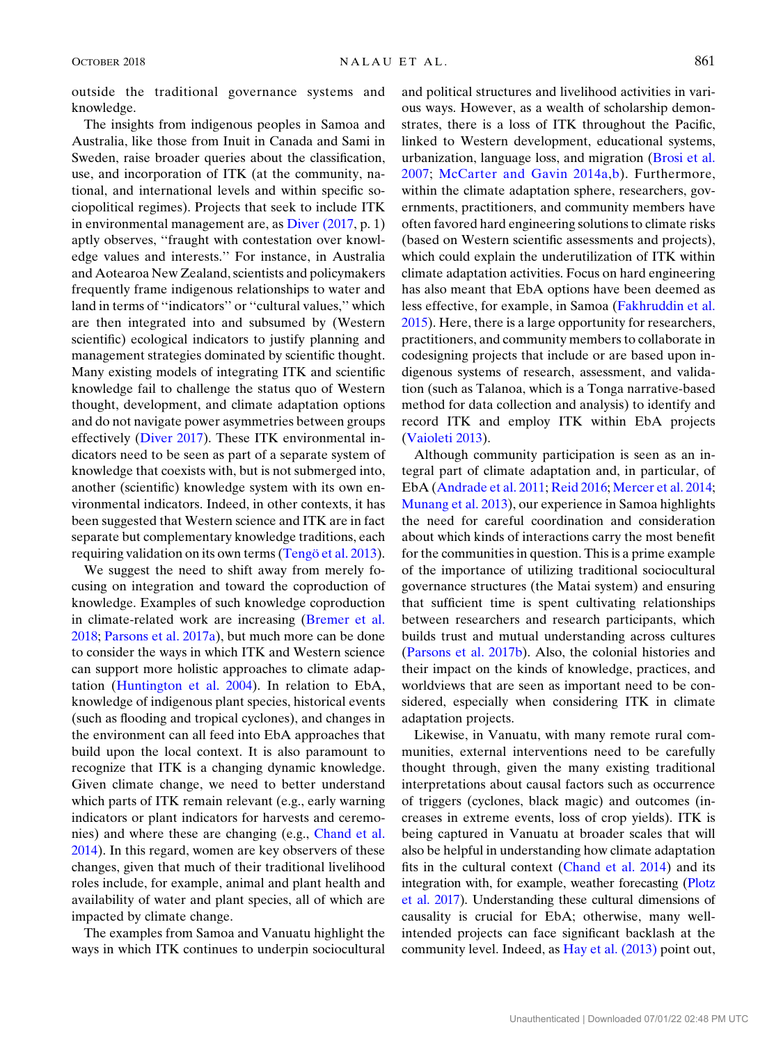outside the traditional governance systems and knowledge.

The insights from indigenous peoples in Samoa and Australia, like those from Inuit in Canada and Sami in Sweden, raise broader queries about the classification, use, and incorporation of ITK (at the community, national, and international levels and within specific sociopolitical regimes). Projects that seek to include ITK in environmental management are, as [Diver \(2017](#page-12-28), p. 1) aptly observes, ''fraught with contestation over knowledge values and interests.'' For instance, in Australia and Aotearoa New Zealand, scientists and policymakers frequently frame indigenous relationships to water and land in terms of ''indicators'' or ''cultural values,'' which are then integrated into and subsumed by (Western scientific) ecological indicators to justify planning and management strategies dominated by scientific thought. Many existing models of integrating ITK and scientific knowledge fail to challenge the status quo of Western thought, development, and climate adaptation options and do not navigate power asymmetries between groups effectively [\(Diver 2017](#page-12-28)). These ITK environmental indicators need to be seen as part of a separate system of knowledge that coexists with, but is not submerged into, another (scientific) knowledge system with its own environmental indicators. Indeed, in other contexts, it has been suggested that Western science and ITK are in fact separate but complementary knowledge traditions, each requiring validation on its own terms (Tengö [et al. 2013\)](#page-14-18).

We suggest the need to shift away from merely focusing on integration and toward the coproduction of knowledge. Examples of such knowledge coproduction in climate-related work are increasing ([Bremer et al.](#page-11-10) [2018;](#page-11-10) [Parsons et al. 2017a](#page-13-27)), but much more can be done to consider the ways in which ITK and Western science can support more holistic approaches to climate adaptation [\(Huntington et al. 2004\)](#page-12-5). In relation to EbA, knowledge of indigenous plant species, historical events (such as flooding and tropical cyclones), and changes in the environment can all feed into EbA approaches that build upon the local context. It is also paramount to recognize that ITK is a changing dynamic knowledge. Given climate change, we need to better understand which parts of ITK remain relevant (e.g., early warning indicators or plant indicators for harvests and ceremonies) and where these are changing (e.g., [Chand et al.](#page-12-29) [2014\)](#page-12-29). In this regard, women are key observers of these changes, given that much of their traditional livelihood roles include, for example, animal and plant health and availability of water and plant species, all of which are impacted by climate change.

The examples from Samoa and Vanuatu highlight the ways in which ITK continues to underpin sociocultural and political structures and livelihood activities in various ways. However, as a wealth of scholarship demonstrates, there is a loss of ITK throughout the Pacific, linked to Western development, educational systems, urbanization, language loss, and migration ([Brosi et al.](#page-11-11) [2007](#page-11-11); [McCarter and Gavin 2014a,](#page-13-28)[b\)](#page-13-29). Furthermore, within the climate adaptation sphere, researchers, governments, practitioners, and community members have often favored hard engineering solutions to climate risks (based on Western scientific assessments and projects), which could explain the underutilization of ITK within climate adaptation activities. Focus on hard engineering has also meant that EbA options have been deemed as less effective, for example, in Samoa [\(Fakhruddin et al.](#page-12-30) [2015\)](#page-12-30). Here, there is a large opportunity for researchers, practitioners, and community members to collaborate in codesigning projects that include or are based upon indigenous systems of research, assessment, and validation (such as Talanoa, which is a Tonga narrative-based method for data collection and analysis) to identify and record ITK and employ ITK within EbA projects ([Vaioleti 2013](#page-14-19)).

Although community participation is seen as an integral part of climate adaptation and, in particular, of EbA [\(Andrade et al. 2011;](#page-11-3) [Reid 2016;](#page-13-11) [Mercer et al. 2014;](#page-13-8) [Munang et al. 2013\)](#page-13-9), our experience in Samoa highlights the need for careful coordination and consideration about which kinds of interactions carry the most benefit for the communities in question. This is a prime example of the importance of utilizing traditional sociocultural governance structures (the Matai system) and ensuring that sufficient time is spent cultivating relationships between researchers and research participants, which builds trust and mutual understanding across cultures ([Parsons et al. 2017b](#page-13-7)). Also, the colonial histories and their impact on the kinds of knowledge, practices, and worldviews that are seen as important need to be considered, especially when considering ITK in climate adaptation projects.

Likewise, in Vanuatu, with many remote rural communities, external interventions need to be carefully thought through, given the many existing traditional interpretations about causal factors such as occurrence of triggers (cyclones, black magic) and outcomes (increases in extreme events, loss of crop yields). ITK is being captured in Vanuatu at broader scales that will also be helpful in understanding how climate adaptation fits in the cultural context ([Chand et al. 2014](#page-12-29)) and its integration with, for example, weather forecasting ([Plotz](#page-13-30) [et al. 2017\)](#page-13-30). Understanding these cultural dimensions of causality is crucial for EbA; otherwise, many wellintended projects can face significant backlash at the community level. Indeed, as [Hay et al. \(2013\)](#page-12-25) point out,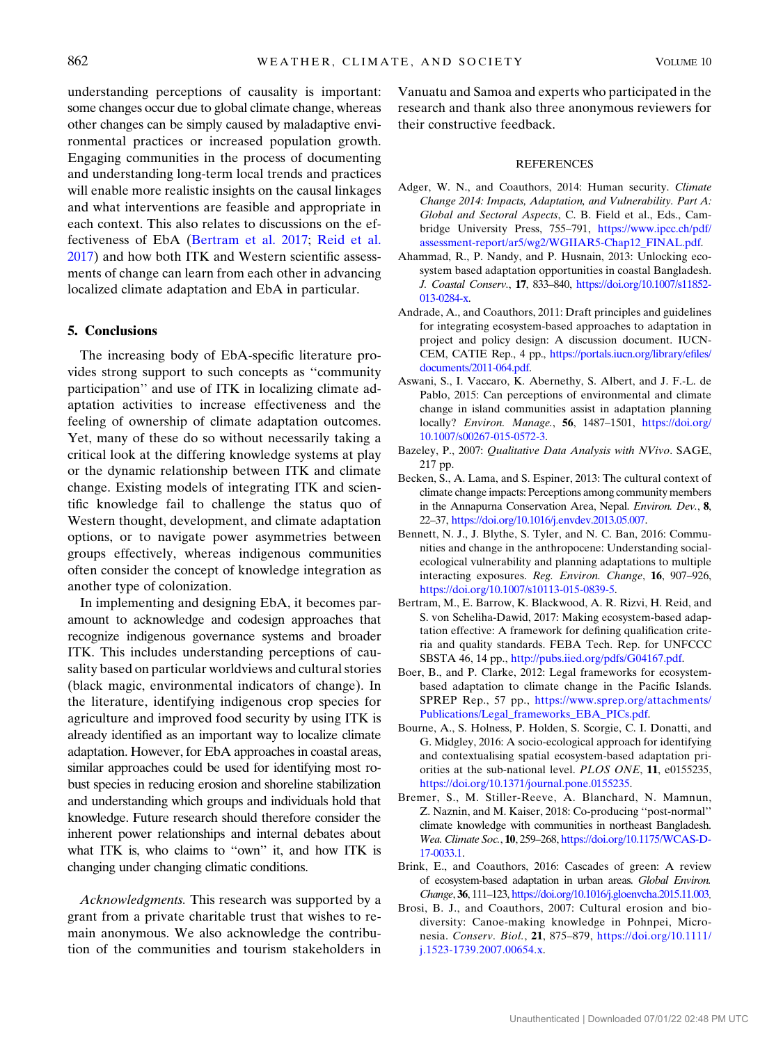understanding perceptions of causality is important: some changes occur due to global climate change, whereas other changes can be simply caused by maladaptive environmental practices or increased population growth. Engaging communities in the process of documenting and understanding long-term local trends and practices will enable more realistic insights on the causal linkages and what interventions are feasible and appropriate in each context. This also relates to discussions on the effectiveness of EbA ([Bertram et al. 2017;](#page-11-12) [Reid et al.](#page-13-31) [2017\)](#page-13-31) and how both ITK and Western scientific assessments of change can learn from each other in advancing localized climate adaptation and EbA in particular.

#### <span id="page-11-4"></span>5. Conclusions

The increasing body of EbA-specific literature provides strong support to such concepts as ''community participation'' and use of ITK in localizing climate adaptation activities to increase effectiveness and the feeling of ownership of climate adaptation outcomes. Yet, many of these do so without necessarily taking a critical look at the differing knowledge systems at play or the dynamic relationship between ITK and climate change. Existing models of integrating ITK and scientific knowledge fail to challenge the status quo of Western thought, development, and climate adaptation options, or to navigate power asymmetries between groups effectively, whereas indigenous communities often consider the concept of knowledge integration as another type of colonization.

In implementing and designing EbA, it becomes paramount to acknowledge and codesign approaches that recognize indigenous governance systems and broader ITK. This includes understanding perceptions of causality based on particular worldviews and cultural stories (black magic, environmental indicators of change). In the literature, identifying indigenous crop species for agriculture and improved food security by using ITK is already identified as an important way to localize climate adaptation. However, for EbA approaches in coastal areas, similar approaches could be used for identifying most robust species in reducing erosion and shoreline stabilization and understanding which groups and individuals hold that knowledge. Future research should therefore consider the inherent power relationships and internal debates about what ITK is, who claims to "own" it, and how ITK is changing under changing climatic conditions.

Acknowledgments. This research was supported by a grant from a private charitable trust that wishes to remain anonymous. We also acknowledge the contribution of the communities and tourism stakeholders in

Vanuatu and Samoa and experts who participated in the research and thank also three anonymous reviewers for their constructive feedback.

#### **REFERENCES**

- <span id="page-11-1"></span>Adger, W. N., and Coauthors, 2014: Human security. Climate Change 2014: Impacts, Adaptation, and Vulnerability. Part A: Global and Sectoral Aspects, C. B. Field et al., Eds., Cambridge University Press, 755–791, [https://www.ipcc.ch/pdf/](https://www.ipcc.ch/pdf/assessment-report/ar5/wg2/WGIIAR5-Chap12_FINAL.pdf) [assessment-report/ar5/wg2/WGIIAR5-Chap12\\_FINAL.pdf](https://www.ipcc.ch/pdf/assessment-report/ar5/wg2/WGIIAR5-Chap12_FINAL.pdf).
- <span id="page-11-6"></span>Ahammad, R., P. Nandy, and P. Husnain, 2013: Unlocking ecosystem based adaptation opportunities in coastal Bangladesh. J. Coastal Conserv., 17, 833–840, [https://doi.org/10.1007/s11852-](https://doi.org/10.1007/s11852-013-0284-x) [013-0284-x](https://doi.org/10.1007/s11852-013-0284-x).
- <span id="page-11-3"></span>Andrade, A., and Coauthors, 2011: Draft principles and guidelines for integrating ecosystem-based approaches to adaptation in project and policy design: A discussion document. IUCN-CEM, CATIE Rep., 4 pp., [https://portals.iucn.org/library/efiles/](https://portals.iucn.org/library/efiles/documents/2011-064.pdf) [documents/2011-064.pdf](https://portals.iucn.org/library/efiles/documents/2011-064.pdf).
- <span id="page-11-7"></span>Aswani, S., I. Vaccaro, K. Abernethy, S. Albert, and J. F.-L. de Pablo, 2015: Can perceptions of environmental and climate change in island communities assist in adaptation planning locally? Environ. Manage., 56, 1487–1501, [https://doi.org/](https://doi.org/10.1007/s00267-015-0572-3) [10.1007/s00267-015-0572-3.](https://doi.org/10.1007/s00267-015-0572-3)
- <span id="page-11-5"></span>Bazeley, P., 2007: Qualitative Data Analysis with NVivo. SAGE, 217 pp.
- <span id="page-11-0"></span>Becken, S., A. Lama, and S. Espiner, 2013: The cultural context of climate change impacts: Perceptions among community members in the Annapurna Conservation Area, Nepal. Environ. Dev., 8, 22–37, <https://doi.org/10.1016/j.envdev.2013.05.007>.
- <span id="page-11-8"></span>Bennett, N. J., J. Blythe, S. Tyler, and N. C. Ban, 2016: Communities and change in the anthropocene: Understanding socialecological vulnerability and planning adaptations to multiple interacting exposures. Reg. Environ. Change, 16, 907–926, [https://doi.org/10.1007/s10113-015-0839-5.](https://doi.org/10.1007/s10113-015-0839-5)
- <span id="page-11-12"></span>Bertram, M., E. Barrow, K. Blackwood, A. R. Rizvi, H. Reid, and S. von Scheliha-Dawid, 2017: Making ecosystem-based adaptation effective: A framework for defining qualification criteria and quality standards. FEBA Tech. Rep. for UNFCCC SBSTA 46, 14 pp., [http://pubs.iied.org/pdfs/G04167.pdf.](http://pubs.iied.org/pdfs/G04167.pdf)
- <span id="page-11-9"></span>Boer, B., and P. Clarke, 2012: Legal frameworks for ecosystembased adaptation to climate change in the Pacific Islands. SPREP Rep., 57 pp., [https://www.sprep.org/attachments/](https://www.sprep.org/attachments/Publications/Legal_frameworks_EBA_PICs.pdf) [Publications/Legal\\_frameworks\\_EBA\\_PICs.pdf](https://www.sprep.org/attachments/Publications/Legal_frameworks_EBA_PICs.pdf).
- Bourne, A., S. Holness, P. Holden, S. Scorgie, C. I. Donatti, and G. Midgley, 2016: A socio-ecological approach for identifying and contextualising spatial ecosystem-based adaptation priorities at the sub-national level. PLOS ONE, 11, e0155235, [https://doi.org/10.1371/journal.pone.0155235.](https://doi.org/10.1371/journal.pone.0155235)
- <span id="page-11-10"></span>Bremer, S., M. Stiller-Reeve, A. Blanchard, N. Mamnun, Z. Naznin, and M. Kaiser, 2018: Co-producing ''post-normal'' climate knowledge with communities in northeast Bangladesh. Wea. Climate Soc., 10, 259–268, [https://doi.org/10.1175/WCAS-D-](https://doi.org/10.1175/WCAS-D-17-0033.1)[17-0033.1.](https://doi.org/10.1175/WCAS-D-17-0033.1)
- <span id="page-11-2"></span>Brink, E., and Coauthors, 2016: Cascades of green: A review of ecosystem-based adaptation in urban areas. Global Environ. Change, 36, 111–123, <https://doi.org/10.1016/j.gloenvcha.2015.11.003>.
- <span id="page-11-11"></span>Brosi, B. J., and Coauthors, 2007: Cultural erosion and biodiversity: Canoe-making knowledge in Pohnpei, Micronesia. Conserv. Biol., 21, 875–879, [https://doi.org/10.1111/](https://doi.org/10.1111/j.1523-1739.2007.00654.x) [j.1523-1739.2007.00654.x](https://doi.org/10.1111/j.1523-1739.2007.00654.x).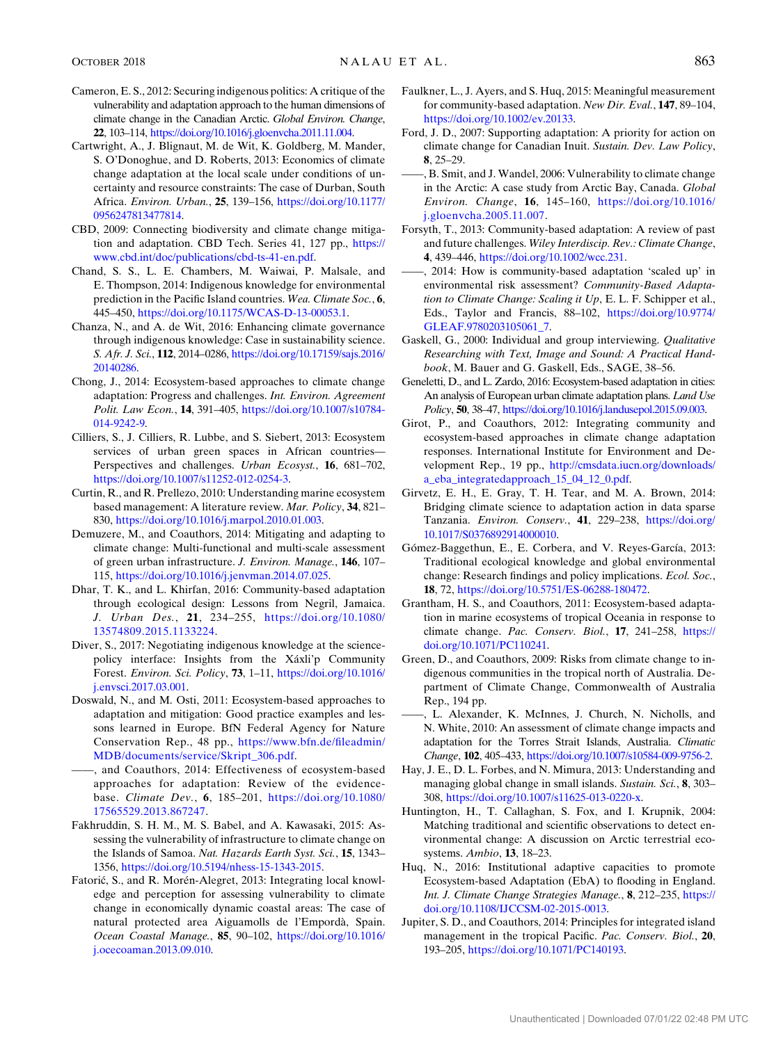- <span id="page-12-4"></span>Cameron, E. S., 2012: Securing indigenous politics: A critique of the vulnerability and adaptation approach to the human dimensions of climate change in the Canadian Arctic. Global Environ. Change, 22, 103–114, [https://doi.org/10.1016/j.gloenvcha.2011.11.004.](https://doi.org/10.1016/j.gloenvcha.2011.11.004)
- <span id="page-12-13"></span>Cartwright, A., J. Blignaut, M. de Wit, K. Goldberg, M. Mander, S. O'Donoghue, and D. Roberts, 2013: Economics of climate change adaptation at the local scale under conditions of uncertainty and resource constraints: The case of Durban, South Africa. Environ. Urban., 25, 139–156, [https://doi.org/10.1177/](https://doi.org/10.1177/0956247813477814) [0956247813477814](https://doi.org/10.1177/0956247813477814).
- <span id="page-12-9"></span>CBD, 2009: Connecting biodiversity and climate change mitigation and adaptation. CBD Tech. Series 41, 127 pp., [https://](https://www.cbd.int/doc/publications/cbd-ts-41-en.pdf) [www.cbd.int/doc/publications/cbd-ts-41-en.pdf](https://www.cbd.int/doc/publications/cbd-ts-41-en.pdf).
- <span id="page-12-29"></span>Chand, S. S., L. E. Chambers, M. Waiwai, P. Malsale, and E. Thompson, 2014: Indigenous knowledge for environmental prediction in the Pacific Island countries. Wea. Climate Soc., 6, 445–450, <https://doi.org/10.1175/WCAS-D-13-00053.1>.
- <span id="page-12-8"></span>Chanza, N., and A. de Wit, 2016: Enhancing climate governance through indigenous knowledge: Case in sustainability science. S. Afr. J. Sci., 112, 2014–0286, [https://doi.org/10.17159/sajs.2016/](https://doi.org/10.17159/sajs.2016/20140286) [20140286.](https://doi.org/10.17159/sajs.2016/20140286)
- <span id="page-12-7"></span>Chong, J., 2014: Ecosystem-based approaches to climate change adaptation: Progress and challenges. Int. Environ. Agreement Polit. Law Econ., 14, 391–405, [https://doi.org/10.1007/s10784-](https://doi.org/10.1007/s10784-014-9242-9) [014-9242-9.](https://doi.org/10.1007/s10784-014-9242-9)
- <span id="page-12-14"></span>Cilliers, S., J. Cilliers, R. Lubbe, and S. Siebert, 2013: Ecosystem services of urban green spaces in African countries— Perspectives and challenges. Urban Ecosyst., 16, 681–702, [https://doi.org/10.1007/s11252-012-0254-3.](https://doi.org/10.1007/s11252-012-0254-3)
- <span id="page-12-15"></span>Curtin, R., and R. Prellezo, 2010: Understanding marine ecosystem based management: A literature review. Mar. Policy, 34, 821– 830, [https://doi.org/10.1016/j.marpol.2010.01.003.](https://doi.org/10.1016/j.marpol.2010.01.003)
- Demuzere, M., and Coauthors, 2014: Mitigating and adapting to climate change: Multi-functional and multi-scale assessment of green urban infrastructure. J. Environ. Manage., 146, 107– 115, [https://doi.org/10.1016/j.jenvman.2014.07.025.](https://doi.org/10.1016/j.jenvman.2014.07.025)
- <span id="page-12-16"></span>Dhar, T. K., and L. Khirfan, 2016: Community-based adaptation through ecological design: Lessons from Negril, Jamaica. J. Urban Des., 21, 234–255, [https://doi.org/10.1080/](https://doi.org/10.1080/13574809.2015.1133224) [13574809.2015.1133224.](https://doi.org/10.1080/13574809.2015.1133224)
- <span id="page-12-28"></span>Diver, S., 2017: Negotiating indigenous knowledge at the sciencepolicy interface: Insights from the Xáxli'p Community Forest. Environ. Sci. Policy, 73, 1–11, [https://doi.org/10.1016/](https://doi.org/10.1016/j.envsci.2017.03.001) [j.envsci.2017.03.001.](https://doi.org/10.1016/j.envsci.2017.03.001)
- <span id="page-12-17"></span>Doswald, N., and M. Osti, 2011: Ecosystem-based approaches to adaptation and mitigation: Good practice examples and lessons learned in Europe. BfN Federal Agency for Nature Conservation Rep., 48 pp., [https://www.bfn.de/fileadmin/](https://www.bfn.de/fileadmin/MDB/documents/service/Skript_306.pdf) [MDB/documents/service/Skript\\_306.pdf](https://www.bfn.de/fileadmin/MDB/documents/service/Skript_306.pdf).
- <span id="page-12-11"></span>——, and Coauthors, 2014: Effectiveness of ecosystem-based approaches for adaptation: Review of the evidencebase. Climate Dev., 6, 185–201, [https://doi.org/10.1080/](https://doi.org/10.1080/17565529.2013.867247) [17565529.2013.867247.](https://doi.org/10.1080/17565529.2013.867247)
- <span id="page-12-30"></span>Fakhruddin, S. H. M., M. S. Babel, and A. Kawasaki, 2015: Assessing the vulnerability of infrastructure to climate change on the Islands of Samoa. Nat. Hazards Earth Syst. Sci., 15, 1343-1356, [https://doi.org/10.5194/nhess-15-1343-2015.](https://doi.org/10.5194/nhess-15-1343-2015)
- <span id="page-12-18"></span>Fatorić, S., and R. Morén-Alegret, 2013: Integrating local knowledge and perception for assessing vulnerability to climate change in economically dynamic coastal areas: The case of natural protected area Aiguamolls de l'Empordà, Spain. Ocean Coastal Manage., 85, 90–102, [https://doi.org/10.1016/](https://doi.org/10.1016/j.ocecoaman.2013.09.010) [j.ocecoaman.2013.09.010.](https://doi.org/10.1016/j.ocecoaman.2013.09.010)
- <span id="page-12-19"></span>Faulkner, L., J. Ayers, and S. Huq, 2015: Meaningful measurement for community-based adaptation. New Dir. Eval., 147, 89–104, [https://doi.org/10.1002/ev.20133.](https://doi.org/10.1002/ev.20133)
- <span id="page-12-1"></span>Ford, J. D., 2007: Supporting adaptation: A priority for action on climate change for Canadian Inuit. Sustain. Dev. Law Policy, 8, 25–29.
- <span id="page-12-0"></span>——, B. Smit, and J. Wandel, 2006: Vulnerability to climate change in the Arctic: A case study from Arctic Bay, Canada. Global Environ. Change, 16, 145–160, [https://doi.org/10.1016/](https://doi.org/10.1016/j.gloenvcha.2005.11.007) [j.gloenvcha.2005.11.007.](https://doi.org/10.1016/j.gloenvcha.2005.11.007)
- <span id="page-12-20"></span>Forsyth, T., 2013: Community-based adaptation: A review of past and future challenges. Wiley Interdiscip. Rev.: Climate Change, 4, 439–446, <https://doi.org/10.1002/wcc.231>.
- <span id="page-12-10"></span>——, 2014: How is community-based adaptation 'scaled up' in environmental risk assessment? Community-Based Adaptation to Climate Change: Scaling it Up, E. L. F. Schipper et al., Eds., Taylor and Francis, 88–102, [https://doi.org/10.9774/](https://doi.org/10.9774/GLEAF.9780203105061_7) [GLEAF.9780203105061\\_7.](https://doi.org/10.9774/GLEAF.9780203105061_7)
- <span id="page-12-12"></span>Gaskell, G., 2000: Individual and group interviewing. Qualitative Researching with Text, Image and Sound: A Practical Handbook, M. Bauer and G. Gaskell, Eds., SAGE, 38–56.
- <span id="page-12-21"></span>Geneletti, D., and L. Zardo, 2016: Ecosystem-based adaptation in cities: An analysis of European urban climate adaptation plans. Land Use Policy, 50, 38–47, <https://doi.org/10.1016/j.landusepol.2015.09.003>.
- <span id="page-12-22"></span>Girot, P., and Coauthors, 2012: Integrating community and ecosystem-based approaches in climate change adaptation responses. International Institute for Environment and Development Rep., 19 pp., [http://cmsdata.iucn.org/downloads/](http://cmsdata.iucn.org/downloads/a_eba_integratedapproach_15_04_12_0.pdf) [a\\_eba\\_integratedapproach\\_15\\_04\\_12\\_0.pdf.](http://cmsdata.iucn.org/downloads/a_eba_integratedapproach_15_04_12_0.pdf)
- <span id="page-12-23"></span>Girvetz, E. H., E. Gray, T. H. Tear, and M. A. Brown, 2014: Bridging climate science to adaptation action in data sparse Tanzania. Environ. Conserv., 41, 229-238, [https://doi.org/](https://doi.org/10.1017/S0376892914000010) [10.1017/S0376892914000010.](https://doi.org/10.1017/S0376892914000010)
- <span id="page-12-6"></span>Gómez-Baggethun, E., E. Corbera, and V. Reyes-García, 2013: Traditional ecological knowledge and global environmental change: Research findings and policy implications. Ecol. Soc., 18, 72, [https://doi.org/10.5751/ES-06288-180472.](https://doi.org/10.5751/ES-06288-180472)
- <span id="page-12-24"></span>Grantham, H. S., and Coauthors, 2011: Ecosystem-based adaptation in marine ecosystems of tropical Oceania in response to climate change. Pac. Conserv. Biol., 17, 241–258, [https://](https://doi.org/10.1071/PC110241) [doi.org/10.1071/PC110241.](https://doi.org/10.1071/PC110241)
- <span id="page-12-2"></span>Green, D., and Coauthors, 2009: Risks from climate change to indigenous communities in the tropical north of Australia. Department of Climate Change, Commonwealth of Australia Rep., 194 pp.
- <span id="page-12-3"></span>——, L. Alexander, K. McInnes, J. Church, N. Nicholls, and N. White, 2010: An assessment of climate change impacts and adaptation for the Torres Strait Islands, Australia. Climatic Change, 102, 405–433, <https://doi.org/10.1007/s10584-009-9756-2>.
- <span id="page-12-25"></span>Hay, J. E., D. L. Forbes, and N. Mimura, 2013: Understanding and managing global change in small islands. Sustain. Sci., 8, 303– 308, [https://doi.org/10.1007/s11625-013-0220-x.](https://doi.org/10.1007/s11625-013-0220-x)
- <span id="page-12-5"></span>Huntington, H., T. Callaghan, S. Fox, and I. Krupnik, 2004: Matching traditional and scientific observations to detect environmental change: A discussion on Arctic terrestrial ecosystems. Ambio, 13, 18–23.
- <span id="page-12-26"></span>Huq, N., 2016: Institutional adaptive capacities to promote Ecosystem-based Adaptation (EbA) to flooding in England. Int. J. Climate Change Strategies Manage., 8, 212–235, [https://](https://doi.org/10.1108/IJCCSM-02-2015-0013) [doi.org/10.1108/IJCCSM-02-2015-0013](https://doi.org/10.1108/IJCCSM-02-2015-0013).
- <span id="page-12-27"></span>Jupiter, S. D., and Coauthors, 2014: Principles for integrated island management in the tropical Pacific. Pac. Conserv. Biol., 20, 193–205, [https://doi.org/10.1071/PC140193.](https://doi.org/10.1071/PC140193)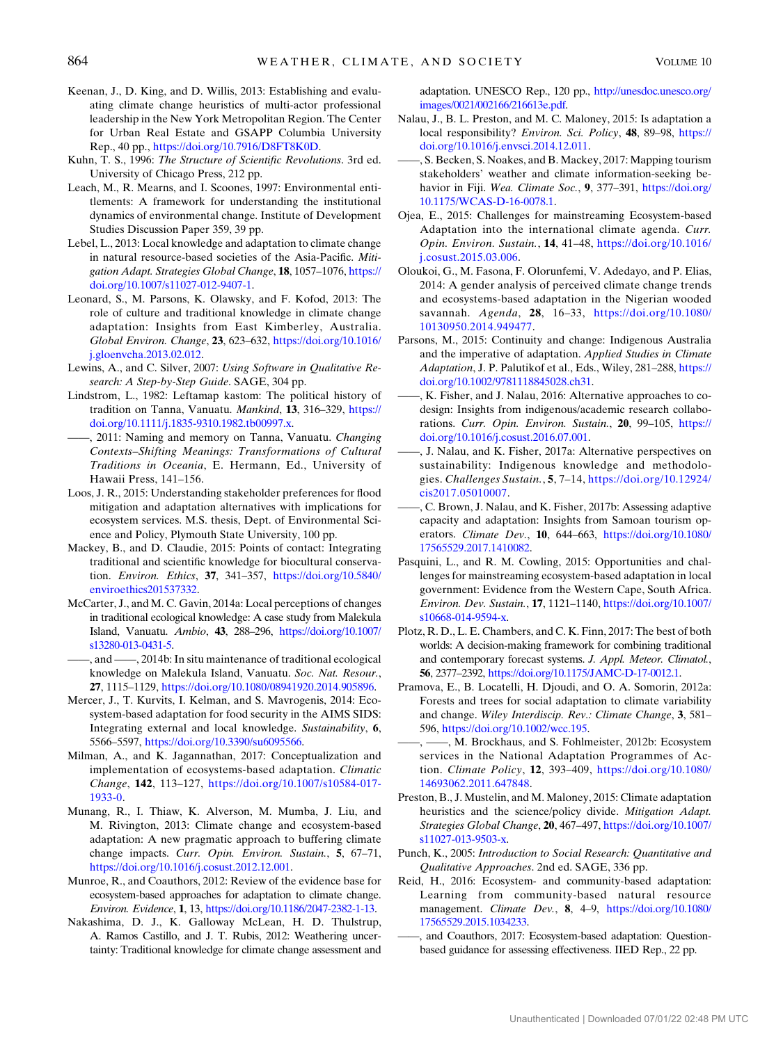- <span id="page-13-14"></span>Keenan, J., D. King, and D. Willis, 2013: Establishing and evaluating climate change heuristics of multi-actor professional leadership in the New York Metropolitan Region. The Center for Urban Real Estate and GSAPP Columbia University Rep., 40 pp., [https://doi.org/10.7916/D8FT8K0D.](https://doi.org/10.7916/D8FT8K0D)
- <span id="page-13-15"></span>Kuhn, T. S., 1996: The Structure of Scientific Revolutions. 3rd ed. University of Chicago Press, 212 pp.
- <span id="page-13-17"></span>Leach, M., R. Mearns, and I. Scoones, 1997: Environmental entitlements: A framework for understanding the institutional dynamics of environmental change. Institute of Development Studies Discussion Paper 359, 39 pp.
- <span id="page-13-1"></span>Lebel, L., 2013: Local knowledge and adaptation to climate change in natural resource-based societies of the Asia-Pacific. Mitigation Adapt. Strategies Global Change, 18, 1057-1076, [https://](https://doi.org/10.1007/s11027-012-9407-1) [doi.org/10.1007/s11027-012-9407-1](https://doi.org/10.1007/s11027-012-9407-1).
- <span id="page-13-4"></span>Leonard, S., M. Parsons, K. Olawsky, and F. Kofod, 2013: The role of culture and traditional knowledge in climate change adaptation: Insights from East Kimberley, Australia. Global Environ. Change, 23, 623–632, [https://doi.org/10.1016/](https://doi.org/10.1016/j.gloenvcha.2013.02.012) [j.gloenvcha.2013.02.012.](https://doi.org/10.1016/j.gloenvcha.2013.02.012)
- <span id="page-13-18"></span>Lewins, A., and C. Silver, 2007: Using Software in Qualitative Research: A Step-by-Step Guide. SAGE, 304 pp.
- <span id="page-13-25"></span>Lindstrom, L., 1982: Leftamap kastom: The political history of tradition on Tanna, Vanuatu. Mankind, 13, 316–329, [https://](https://doi.org/10.1111/j.1835-9310.1982.tb00997.x) [doi.org/10.1111/j.1835-9310.1982.tb00997.x](https://doi.org/10.1111/j.1835-9310.1982.tb00997.x).
- <span id="page-13-26"></span>-, 2011: Naming and memory on Tanna, Vanuatu. Changing Contexts–Shifting Meanings: Transformations of Cultural Traditions in Oceania, E. Hermann, Ed., University of Hawaii Press, 141–156.
- <span id="page-13-20"></span>Loos, J. R., 2015: Understanding stakeholder preferences for flood mitigation and adaptation alternatives with implications for ecosystem services. M.S. thesis, Dept. of Environmental Science and Policy, Plymouth State University, 100 pp.
- <span id="page-13-3"></span>Mackey, B., and D. Claudie, 2015: Points of contact: Integrating traditional and scientific knowledge for biocultural conservation. Environ. Ethics, 37, 341–357, [https://doi.org/10.5840/](https://doi.org/10.5840/enviroethics201537332) [enviroethics201537332.](https://doi.org/10.5840/enviroethics201537332)
- <span id="page-13-28"></span>McCarter, J., and M. C. Gavin, 2014a: Local perceptions of changes in traditional ecological knowledge: A case study from Malekula Island, Vanuatu. Ambio, 43, 288–296, [https://doi.org/10.1007/](https://doi.org/10.1007/s13280-013-0431-5) [s13280-013-0431-5](https://doi.org/10.1007/s13280-013-0431-5).
- <span id="page-13-29"></span>——, and ——, 2014b: In situ maintenance of traditional ecological knowledge on Malekula Island, Vanuatu. Soc. Nat. Resour., 27, 1115–1129, [https://doi.org/10.1080/08941920.2014.905896.](https://doi.org/10.1080/08941920.2014.905896)
- <span id="page-13-8"></span>Mercer, J., T. Kurvits, I. Kelman, and S. Mavrogenis, 2014: Ecosystem-based adaptation for food security in the AIMS SIDS: Integrating external and local knowledge. Sustainability, 6, 5566–5597, <https://doi.org/10.3390/su6095566>.
- <span id="page-13-13"></span>Milman, A., and K. Jagannathan, 2017: Conceptualization and implementation of ecosystems-based adaptation. Climatic Change, 142, 113–127, [https://doi.org/10.1007/s10584-017-](https://doi.org/10.1007/s10584-017-1933-0) [1933-0.](https://doi.org/10.1007/s10584-017-1933-0)
- <span id="page-13-9"></span>Munang, R., I. Thiaw, K. Alverson, M. Mumba, J. Liu, and M. Rivington, 2013: Climate change and ecosystem-based adaptation: A new pragmatic approach to buffering climate change impacts. Curr. Opin. Environ. Sustain., 5, 67–71, <https://doi.org/10.1016/j.cosust.2012.12.001>.
- <span id="page-13-21"></span>Munroe, R., and Coauthors, 2012: Review of the evidence base for ecosystem-based approaches for adaptation to climate change. Environ. Evidence, 1, 13, <https://doi.org/10.1186/2047-2382-1-13>.
- <span id="page-13-0"></span>Nakashima, D. J., K. Galloway McLean, H. D. Thulstrup, A. Ramos Castillo, and J. T. Rubis, 2012: Weathering uncertainty: Traditional knowledge for climate change assessment and

adaptation. UNESCO Rep., 120 pp., [http://unesdoc.unesco.org/](http://unesdoc.unesco.org/images/0021/002166/216613e.pdf) [images/0021/002166/216613e.pdf](http://unesdoc.unesco.org/images/0021/002166/216613e.pdf).

- <span id="page-13-16"></span>Nalau, J., B. L. Preston, and M. C. Maloney, 2015: Is adaptation a local responsibility? Environ. Sci. Policy, 48, 89–98, [https://](https://doi.org/10.1016/j.envsci.2014.12.011) [doi.org/10.1016/j.envsci.2014.12.011.](https://doi.org/10.1016/j.envsci.2014.12.011)
- <span id="page-13-6"></span>——, S. Becken, S. Noakes, and B. Mackey, 2017: Mapping tourism stakeholders' weather and climate information-seeking behavior in Fiji. Wea. Climate Soc., 9, 377-391, [https://doi.org/](https://doi.org/10.1175/WCAS-D-16-0078.1) [10.1175/WCAS-D-16-0078.1](https://doi.org/10.1175/WCAS-D-16-0078.1).
- <span id="page-13-10"></span>Ojea, E., 2015: Challenges for mainstreaming Ecosystem-based Adaptation into the international climate agenda. Curr. Opin. Environ. Sustain., 14, 41–48, [https://doi.org/10.1016/](https://doi.org/10.1016/j.cosust.2015.03.006) [j.cosust.2015.03.006](https://doi.org/10.1016/j.cosust.2015.03.006).
- <span id="page-13-22"></span>Oloukoi, G., M. Fasona, F. Olorunfemi, V. Adedayo, and P. Elias, 2014: A gender analysis of perceived climate change trends and ecosystems-based adaptation in the Nigerian wooded savannah. Agenda, 28, 16–33, [https://doi.org/10.1080/](https://doi.org/10.1080/10130950.2014.949477) [10130950.2014.949477](https://doi.org/10.1080/10130950.2014.949477).
- <span id="page-13-2"></span>Parsons, M., 2015: Continuity and change: Indigenous Australia and the imperative of adaptation. Applied Studies in Climate Adaptation, J. P. Palutikof et al., Eds., Wiley, 281-288, [https://](https://doi.org/10.1002/9781118845028.ch31) [doi.org/10.1002/9781118845028.ch31](https://doi.org/10.1002/9781118845028.ch31).
- <span id="page-13-5"></span>——, K. Fisher, and J. Nalau, 2016: Alternative approaches to codesign: Insights from indigenous/academic research collaborations. Curr. Opin. Environ. Sustain., 20, 99–105, [https://](https://doi.org/10.1016/j.cosust.2016.07.001) [doi.org/10.1016/j.cosust.2016.07.001.](https://doi.org/10.1016/j.cosust.2016.07.001)
- <span id="page-13-27"></span>——, J. Nalau, and K. Fisher, 2017a: Alternative perspectives on sustainability: Indigenous knowledge and methodologies. Challenges Sustain., 5, 7–14, [https://doi.org/10.12924/](https://doi.org/10.12924/cis2017.05010007) [cis2017.05010007](https://doi.org/10.12924/cis2017.05010007).
- <span id="page-13-7"></span>——, C. Brown, J. Nalau, and K. Fisher, 2017b: Assessing adaptive capacity and adaptation: Insights from Samoan tourism operators. Climate Dev., 10, 644–663, [https://doi.org/10.1080/](https://doi.org/10.1080/17565529.2017.1410082) [17565529.2017.1410082](https://doi.org/10.1080/17565529.2017.1410082).
- Pasquini, L., and R. M. Cowling, 2015: Opportunities and challenges for mainstreaming ecosystem-based adaptation in local government: Evidence from the Western Cape, South Africa. Environ. Dev. Sustain., 17, 1121–1140, [https://doi.org/10.1007/](https://doi.org/10.1007/s10668-014-9594-x) [s10668-014-9594-x.](https://doi.org/10.1007/s10668-014-9594-x)
- <span id="page-13-30"></span>Plotz, R. D., L. E. Chambers, and C. K. Finn, 2017: The best of both worlds: A decision-making framework for combining traditional and contemporary forecast systems. J. Appl. Meteor. Climatol., 56, 2377–2392, [https://doi.org/10.1175/JAMC-D-17-0012.1.](https://doi.org/10.1175/JAMC-D-17-0012.1)
- <span id="page-13-23"></span>Pramova, E., B. Locatelli, H. Djoudi, and O. A. Somorin, 2012a: Forests and trees for social adaptation to climate variability and change. Wiley Interdiscip. Rev.: Climate Change, 3, 581– 596, <https://doi.org/10.1002/wcc.195>.
- <span id="page-13-24"></span>——, ——, M. Brockhaus, and S. Fohlmeister, 2012b: Ecosystem services in the National Adaptation Programmes of Action. Climate Policy, 12, 393–409, [https://doi.org/10.1080/](https://doi.org/10.1080/14693062.2011.647848) [14693062.2011.647848](https://doi.org/10.1080/14693062.2011.647848).
- <span id="page-13-12"></span>Preston, B., J. Mustelin, and M. Maloney, 2015: Climate adaptation heuristics and the science/policy divide. Mitigation Adapt. Strategies Global Change, 20, 467–497, [https://doi.org/10.1007/](https://doi.org/10.1007/s11027-013-9503-x) [s11027-013-9503-x.](https://doi.org/10.1007/s11027-013-9503-x)
- <span id="page-13-19"></span>Punch, K., 2005: Introduction to Social Research: Quantitative and Qualitative Approaches. 2nd ed. SAGE, 336 pp.
- <span id="page-13-11"></span>Reid, H., 2016: Ecosystem- and community-based adaptation: Learning from community-based natural resource management. Climate Dev., 8, 4–9, [https://doi.org/10.1080/](https://doi.org/10.1080/17565529.2015.1034233) [17565529.2015.1034233](https://doi.org/10.1080/17565529.2015.1034233).
- <span id="page-13-31"></span>——, and Coauthors, 2017: Ecosystem-based adaptation: Questionbased guidance for assessing effectiveness. IIED Rep., 22 pp.